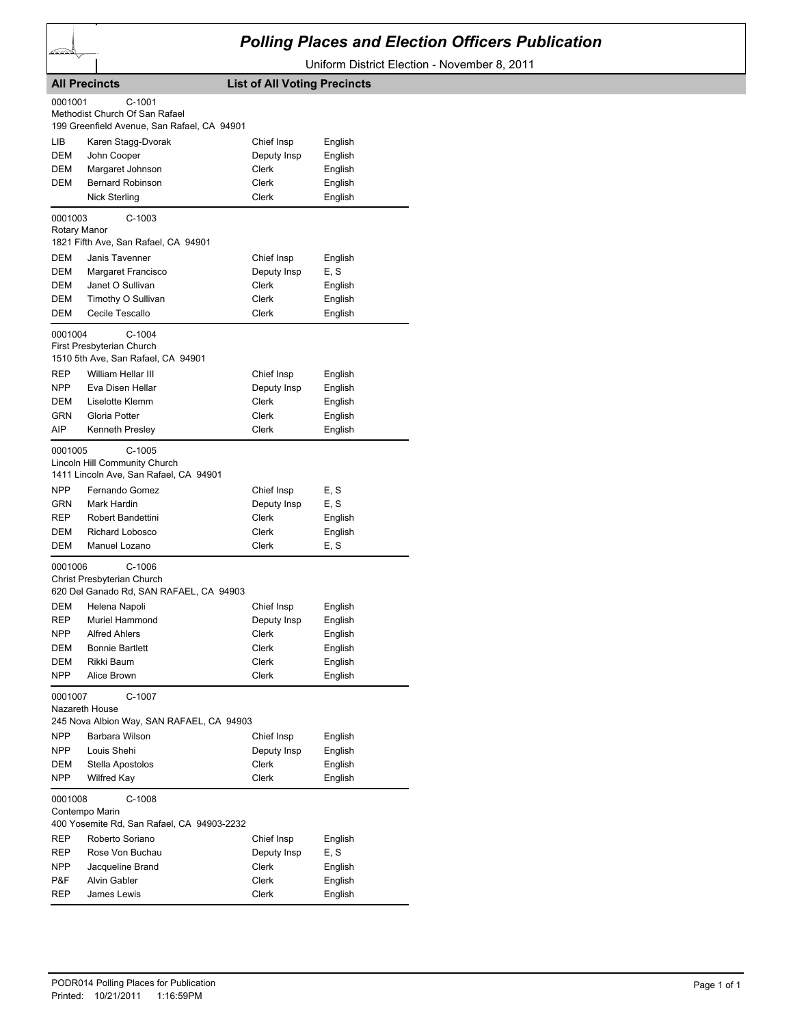

## *Polling Places and Election Officers Publication*

Uniform District Election - November 8, 2011

| <b>All Precincts</b>                                                                                                                                                                                                   | <b>List of All Voting Precincts</b>                                                                         |
|------------------------------------------------------------------------------------------------------------------------------------------------------------------------------------------------------------------------|-------------------------------------------------------------------------------------------------------------|
| 0001001<br>$C-1001$<br>Methodist Church Of San Rafael<br>199 Greenfield Avenue, San Rafael, CA 94901                                                                                                                   |                                                                                                             |
| LІВ<br>Karen Stagg-Dvorak<br>DEM<br>John Cooper<br>DEM<br>Margaret Johnson<br>DEM<br><b>Bernard Robinson</b><br><b>Nick Sterling</b>                                                                                   | Chief Insp<br>English<br>English<br>Deputy Insp<br>Clerk<br>English<br>Clerk<br>English<br>Clerk<br>English |
| 0001003<br>$C-1003$<br>Rotary Manor<br>1821 Fifth Ave, San Rafael, CA 94901                                                                                                                                            |                                                                                                             |
| DEM<br>Janis Tavenner<br>DEM<br>Margaret Francisco<br>Janet O Sullivan<br>DEM<br>DEM<br>Timothy O Sullivan<br>DEM<br>Cecile Tescallo                                                                                   | Chief Insp<br>English<br>Deputy Insp<br>E, S<br>Clerk<br>English<br>Clerk<br>English<br>Clerk<br>English    |
| 0001004<br>$C-1004$<br>First Presbyterian Church<br>1510 5th Ave, San Rafael, CA 94901                                                                                                                                 |                                                                                                             |
| William Hellar III<br><b>REP</b><br>NPP.<br>Eva Disen Hellar<br><b>DEM</b><br>Liselotte Klemm<br>Gloria Potter<br>GRN<br>AIP<br><b>Kenneth Presley</b>                                                                 | Chief Insp<br>English<br>English<br>Deputy Insp<br>Clerk<br>English<br>Clerk<br>English<br>Clerk<br>English |
| 0001005<br>$C-1005$<br>Lincoln Hill Community Church<br>1411 Lincoln Ave, San Rafael, CA 94901                                                                                                                         |                                                                                                             |
| <b>NPP</b><br>Fernando Gomez<br>GRN<br>Mark Hardin<br>REP<br><b>Robert Bandettini</b><br><b>Richard Lobosco</b><br>DEM                                                                                                 | Chief Insp<br>E, S<br>Deputy Insp<br>E, S<br>Clerk<br>English<br>Clerk<br>English                           |
| DEM<br>Manuel Lozano<br>$C-1006$<br>0001006<br>Christ Presbyterian Church                                                                                                                                              | E, S<br>Clerk                                                                                               |
| 620 Del Ganado Rd, SAN RAFAEL, CA 94903<br><b>DEM</b><br>Helena Napoli<br>REP<br>Muriel Hammond<br><b>Alfred Ahlers</b><br>NPP.<br><b>Bonnie Bartlett</b><br>DEM<br>Rikki Baum<br>DEM                                  | Chief Insp<br>English<br>Deputy Insp<br>English<br>Clerk<br>English<br>Clerk<br>English<br>English<br>Clerk |
| NPP<br>Alice Brown<br>0001007<br>C-1007<br>Nazareth House                                                                                                                                                              | English<br>Clerk                                                                                            |
| 245 Nova Albion Way, SAN RAFAEL, CA 94903<br>NPP<br>Barbara Wilson<br><b>NPP</b><br>Louis Shehi<br>Stella Apostolos<br>DEM<br><b>NPP</b><br><b>Wilfred Kay</b>                                                         | Chief Insp<br>English<br>Deputy Insp<br>English<br>Clerk<br>English<br><b>Clerk</b><br>English              |
| $C-1008$<br>0001008<br>Contempo Marin<br>400 Yosemite Rd, San Rafael, CA 94903-2232<br>REP<br>Roberto Soriano<br>REP<br>Rose Von Buchau<br>NPP<br>Jacqueline Brand<br>P&F<br><b>Alvin Gabler</b><br>REP<br>James Lewis | Chief Insp<br>English<br>Deputy Insp<br>E, S<br>Clerk<br>English<br>Clerk<br>English<br>Clerk<br>English    |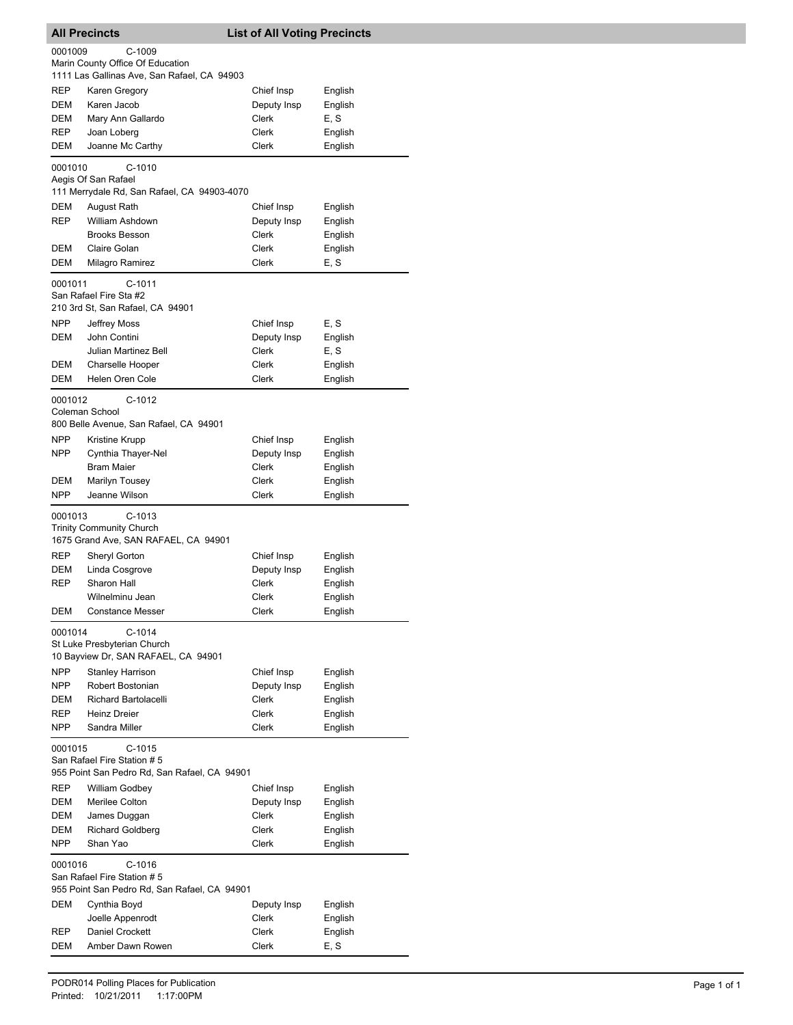|            | <b>All Precincts</b>                                                            | <b>List of All Voting Precincts</b> |                    |
|------------|---------------------------------------------------------------------------------|-------------------------------------|--------------------|
| 0001009    | $C-1009$                                                                        |                                     |                    |
|            | Marin County Office Of Education<br>1111 Las Gallinas Ave, San Rafael, CA 94903 |                                     |                    |
| <b>REP</b> | Karen Gregory                                                                   | Chief Insp                          | English            |
| DEM        | Karen Jacob                                                                     | Deputy Insp                         | English            |
| DEM        | Mary Ann Gallardo                                                               | Clerk                               | E, S               |
| <b>REP</b> | Joan Loberg                                                                     | Clerk                               | English            |
| DEM        | Joanne Mc Carthy                                                                | Clerk                               | English            |
| 0001010    | $C-1010$                                                                        |                                     |                    |
|            | Aegis Of San Rafael<br>111 Merrydale Rd, San Rafael, CA 94903-4070              |                                     |                    |
| <b>DEM</b> | August Rath                                                                     | Chief Insp                          | English            |
| <b>REP</b> | William Ashdown                                                                 | Deputy Insp                         | English            |
|            | <b>Brooks Besson</b>                                                            | Clerk                               | English            |
| DEM<br>DEM | Claire Golan<br>Milagro Ramirez                                                 | Clerk<br>Clerk                      | English<br>E, S    |
|            | $C-1011$                                                                        |                                     |                    |
| 0001011    | San Rafael Fire Sta #2<br>210 3rd St, San Rafael, CA 94901                      |                                     |                    |
| <b>NPP</b> | <b>Jeffrey Moss</b>                                                             | Chief Insp                          | E, S               |
| DEM        | John Contini                                                                    | Deputy Insp                         | English            |
|            | Julian Martinez Bell                                                            | Clerk                               | E, S               |
| <b>DEM</b> | Charselle Hooper                                                                | Clerk                               | English            |
| DEM        | Helen Oren Cole                                                                 | Clerk                               | English            |
| 0001012    | C-1012                                                                          |                                     |                    |
|            | Coleman School<br>800 Belle Avenue, San Rafael, CA 94901                        |                                     |                    |
| <b>NPP</b> | Kristine Krupp                                                                  | Chief Insp                          | English            |
| <b>NPP</b> | Cynthia Thayer-Nel                                                              | Deputy Insp                         | English            |
|            | <b>Bram Maier</b>                                                               | Clerk                               | English            |
| DEM        | Marilyn Tousey                                                                  | Clerk                               | English            |
| <b>NPP</b> | Jeanne Wilson                                                                   | Clerk                               | English            |
| 0001013    | $C-1013$                                                                        |                                     |                    |
|            | <b>Trinity Community Church</b>                                                 |                                     |                    |
| <b>REP</b> | 1675 Grand Ave, SAN RAFAEL, CA 94901                                            | Chief Insp                          |                    |
| <b>DEM</b> | Sheryl Gorton<br>Linda Cosgrove                                                 | Deputy Insp                         | English<br>English |
| REP        | Sharon Hall                                                                     | Clerk                               | English            |
|            | Wilnelminu Jean                                                                 | Clerk                               | English            |
| DEM        | <b>Constance Messer</b>                                                         | Clerk                               | English            |
| 0001014    | $C-1014$<br>St Luke Presbyterian Church                                         |                                     |                    |
|            | 10 Bayview Dr, SAN RAFAEL, CA 94901                                             |                                     |                    |
| <b>NPP</b> | <b>Stanley Harrison</b>                                                         | Chief Insp                          | English            |
| <b>NPP</b> | Robert Bostonian                                                                | Deputy Insp                         | English            |
| <b>DEM</b> | <b>Richard Bartolacelli</b>                                                     | Clerk                               | English            |
| REP        | Heinz Dreier                                                                    | Clerk                               | English            |
| NPP.       | Sandra Miller                                                                   | Clerk                               | English            |
| 0001015    | $C-1015$<br>San Rafael Fire Station # 5                                         |                                     |                    |
|            | 955 Point San Pedro Rd, San Rafael, CA 94901                                    |                                     |                    |
| REP        | William Godbey                                                                  | Chief Insp                          | English            |
| DEM        | Merilee Colton                                                                  | Deputy Insp                         | English            |
| DEM<br>DEM | James Duggan<br><b>Richard Goldberg</b>                                         | Clerk<br>Clerk                      | English<br>English |
| NPP.       | Shan Yao                                                                        | Clerk                               | English            |
| 0001016    | C-1016                                                                          |                                     |                    |
|            | San Rafael Fire Station # 5                                                     |                                     |                    |
|            | 955 Point San Pedro Rd, San Rafael, CA 94901                                    |                                     |                    |
| DEM        | Cynthia Boyd                                                                    | Deputy Insp                         | English            |
| REP        | Joelle Appenrodt<br>Daniel Crockett                                             | Clerk<br>Clerk                      | English<br>English |
| DEM        | Amber Dawn Rowen                                                                | Clerk                               | E, S               |
|            |                                                                                 |                                     |                    |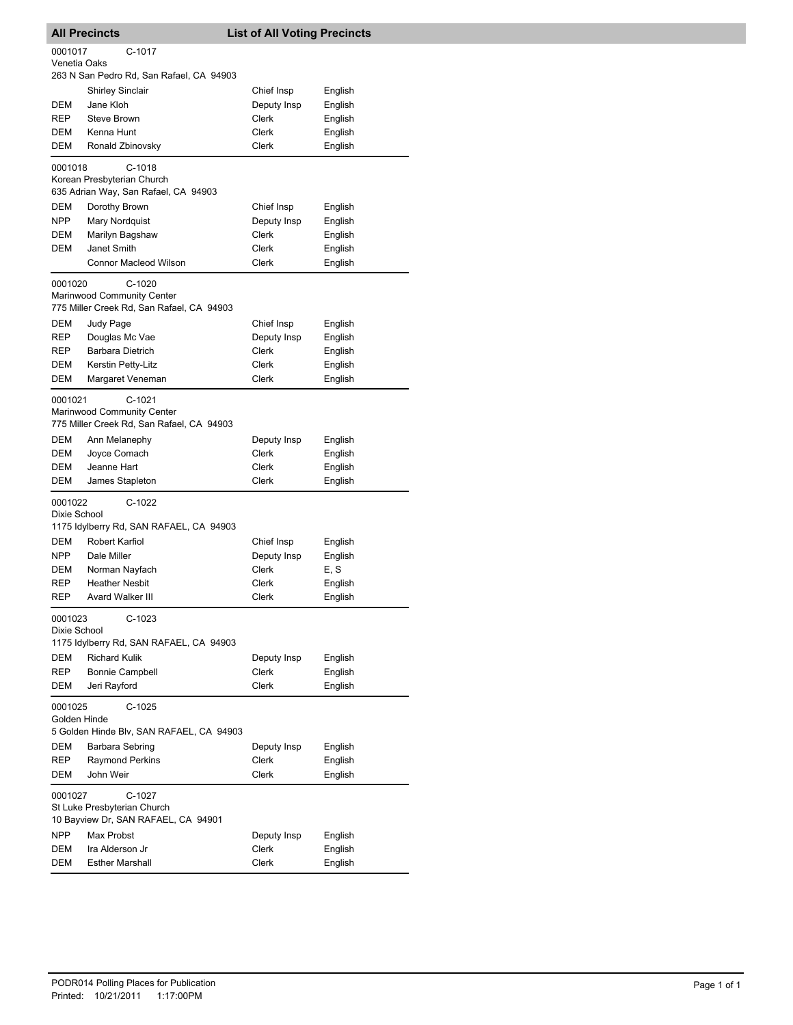|                          | <b>All Precincts</b>                      | <b>List of All Voting Precincts</b> |                    |
|--------------------------|-------------------------------------------|-------------------------------------|--------------------|
| 0001017                  | C-1017                                    |                                     |                    |
| Venetia Oaks             | 263 N San Pedro Rd, San Rafael, CA 94903  |                                     |                    |
|                          | <b>Shirley Sinclair</b>                   | Chief Insp                          | English            |
| DEM                      | Jane Kloh                                 | Deputy Insp                         | English            |
| <b>REP</b>               | <b>Steve Brown</b>                        | Clerk                               | English            |
| DEM                      | Kenna Hunt                                | Clerk                               | English            |
| <b>DEM</b>               | Ronald Zbinovsky                          | Clerk                               | English            |
| 0001018                  | $C-1018$                                  |                                     |                    |
|                          | Korean Presbyterian Church                |                                     |                    |
|                          | 635 Adrian Way, San Rafael, CA 94903      |                                     |                    |
| <b>DEM</b><br><b>NPP</b> | Dorothy Brown                             | Chief Insp                          | English            |
| DEM                      | Mary Nordquist<br>Marilyn Bagshaw         | Deputy Insp<br>Clerk                | English<br>English |
| <b>DEM</b>               | Janet Smith                               | Clerk                               | English            |
|                          | <b>Connor Macleod Wilson</b>              | Clerk                               | English            |
|                          |                                           |                                     |                    |
| 0001020                  | C-1020<br>Marinwood Community Center      |                                     |                    |
|                          | 775 Miller Creek Rd, San Rafael, CA 94903 |                                     |                    |
| <b>DEM</b>               | Judy Page                                 | Chief Insp                          | English            |
| <b>REP</b>               | Douglas Mc Vae                            | Deputy Insp                         | English            |
| REP                      | Barbara Dietrich                          | Clerk                               | English            |
| <b>DEM</b>               | Kerstin Petty-Litz                        | Clerk                               | English            |
| DEM                      | Margaret Veneman                          | Clerk                               | English            |
| 0001021                  | $C-1021$                                  |                                     |                    |
|                          | Marinwood Community Center                |                                     |                    |
|                          | 775 Miller Creek Rd, San Rafael, CA 94903 |                                     |                    |
| DEM                      | Ann Melanephy                             | Deputy Insp                         | English            |
| DEM                      | Joyce Comach                              | Clerk<br>Clerk                      | English            |
| DEM<br>DEM               | Jeanne Hart<br>James Stapleton            | Clerk                               | English<br>English |
|                          |                                           |                                     |                    |
| 0001022<br>Dixie School  | C-1022                                    |                                     |                    |
|                          | 1175 Idylberry Rd, SAN RAFAEL, CA 94903   |                                     |                    |
| DEM                      | Robert Karfiol                            | Chief Insp                          | English            |
| <b>NPP</b>               | Dale Miller                               | Deputy Insp                         | English            |
| DEM                      | Norman Nayfach                            | Clerk                               | E, S               |
| REP                      | <b>Heather Nesbit</b>                     | Clerk                               | English            |
| REP                      | <b>Avard Walker III</b>                   | Clerk                               | English            |
| 0001023                  | C-1023                                    |                                     |                    |
| Dixie School             | 1175 Idylberry Rd, SAN RAFAEL, CA 94903   |                                     |                    |
| DEM                      | <b>Richard Kulik</b>                      | Deputy Insp                         |                    |
| REP                      | <b>Bonnie Campbell</b>                    | Clerk                               | English<br>English |
| DEM                      | Jeri Rayford                              | Clerk                               | English            |
|                          |                                           |                                     |                    |
| 0001025<br>Golden Hinde  | $C-1025$                                  |                                     |                    |
|                          | 5 Golden Hinde Blv, SAN RAFAEL, CA 94903  |                                     |                    |
| DEM                      | Barbara Sebring                           | Deputy Insp                         | English            |
| REP                      | <b>Raymond Perkins</b>                    | Clerk                               | English            |
| DEM                      | John Weir                                 | Clerk                               | English            |
| 0001027                  | $C-1027$                                  |                                     |                    |
|                          | St Luke Presbyterian Church               |                                     |                    |
|                          | 10 Bayview Dr, SAN RAFAEL, CA 94901       |                                     |                    |
| <b>NPP</b>               | Max Probst                                | Deputy Insp                         | English            |
| DEM                      | Ira Alderson Jr                           | Clerk                               | English            |
| DEM                      | <b>Esther Marshall</b>                    | Clerk                               | English            |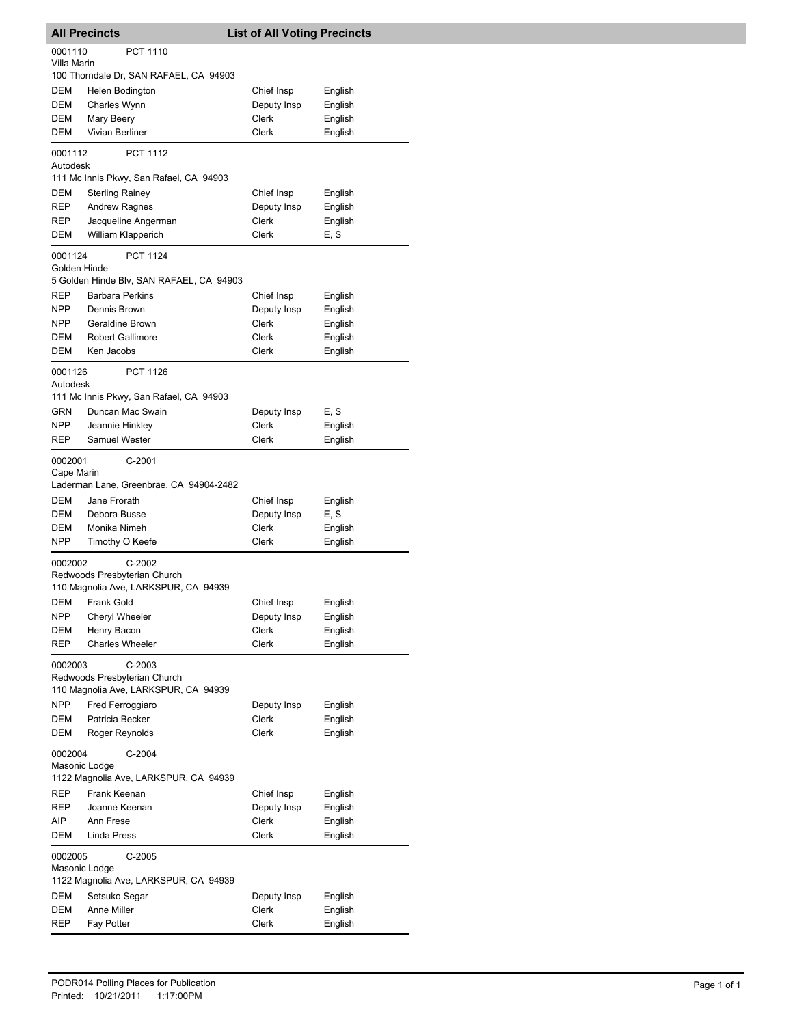| <b>All Precincts</b>     |                                                                                  | <b>List of All Voting Precincts</b> |         |
|--------------------------|----------------------------------------------------------------------------------|-------------------------------------|---------|
| 0001110<br>Villa Marin   | PCT 1110                                                                         |                                     |         |
|                          | 100 Thorndale Dr, SAN RAFAEL, CA 94903                                           |                                     |         |
| DEM                      | Helen Bodington                                                                  | Chief Insp                          | English |
| <b>DEM</b>               | Charles Wynn                                                                     | Deputy Insp                         | English |
| DEM                      | Mary Beery                                                                       | Clerk                               | English |
| DEM                      | Vivian Berliner                                                                  | Clerk                               | English |
| 0001112<br>Autodesk      | <b>PCT 1112</b>                                                                  |                                     |         |
|                          | 111 Mc Innis Pkwy, San Rafael, CA 94903                                          |                                     |         |
| DEM                      | <b>Sterling Rainey</b>                                                           | Chief Insp                          | English |
| REP                      | Andrew Ragnes                                                                    | Deputy Insp                         | English |
| REP                      | Jacqueline Angerman                                                              | Clerk                               | English |
| DEM                      | William Klapperich                                                               | Clerk                               | E, S    |
| 0001124<br>Golden Hinde  | <b>PCT 1124</b>                                                                  |                                     |         |
|                          | 5 Golden Hinde Blv, SAN RAFAEL, CA 94903                                         |                                     |         |
| REP                      | <b>Barbara Perkins</b>                                                           | Chief Insp                          | English |
| <b>NPP</b>               | Dennis Brown                                                                     | Deputy Insp                         | English |
| <b>NPP</b>               | Geraldine Brown                                                                  | Clerk                               | English |
| DEM                      | <b>Robert Gallimore</b>                                                          | Clerk                               | English |
| <b>DEM</b>               | Ken Jacobs                                                                       | Clerk                               | English |
| 0001126<br>Autodesk      | PCT 1126                                                                         |                                     |         |
|                          | 111 Mc Innis Pkwy, San Rafael, CA 94903                                          |                                     |         |
| GRN                      | Duncan Mac Swain                                                                 | Deputy Insp                         | E, S    |
| NPP.                     | Jeannie Hinkley                                                                  | Clerk                               | English |
| REP                      | <b>Samuel Wester</b>                                                             | Clerk                               | English |
| 0002001<br>Cape Marin    | C-2001<br>Laderman Lane, Greenbrae, CA 94904-2482                                |                                     |         |
| DEM                      | Jane Frorath                                                                     | Chief Insp                          | English |
| DEM                      | Debora Busse                                                                     | Deputy Insp                         | E, S    |
| DEM                      | Monika Nimeh                                                                     | Clerk                               | English |
| NPP                      | Timothy O Keefe                                                                  | Clerk                               | English |
| 0002002                  | $C-2002$<br>Redwoods Presbyterian Church<br>110 Magnolia Ave, LARKSPUR, CA 94939 |                                     |         |
| DEM                      | Frank Gold                                                                       | Chief Insp                          | English |
| NPP                      | <b>Cheryl Wheeler</b>                                                            | Deputy Insp                         | English |
| DEM                      | Henry Bacon                                                                      | Clerk                               | English |
| REP                      | <b>Charles Wheeler</b>                                                           | Clerk                               | English |
| 0002003                  | $C-2003$<br>Redwoods Presbyterian Church<br>110 Magnolia Ave, LARKSPUR, CA 94939 |                                     |         |
| <b>NPP</b>               | Fred Ferroggiaro                                                                 | Deputy Insp                         | English |
| DEM                      | Patricia Becker                                                                  | Clerk                               | English |
| DEM                      | Roger Reynolds                                                                   | Clerk                               | English |
| 0002004<br>Masonic Lodge | $C-2004$<br>1122 Magnolia Ave, LARKSPUR, CA 94939                                |                                     |         |
| REP                      | Frank Keenan                                                                     | Chief Insp                          | English |
| REP                      | Joanne Keenan                                                                    | Deputy Insp                         | English |
| AIP                      | Ann Frese                                                                        | Clerk                               | English |
| DEM                      | Linda Press                                                                      | Clerk                               | English |
| 0002005<br>Masonic Lodge | C-2005<br>1122 Magnolia Ave, LARKSPUR, CA 94939                                  |                                     |         |
| DEM                      | Setsuko Segar                                                                    | Deputy Insp                         | English |
| DEM                      | Anne Miller                                                                      | Clerk                               | English |
| REP                      | Fay Potter                                                                       | Clerk                               | English |
|                          |                                                                                  |                                     |         |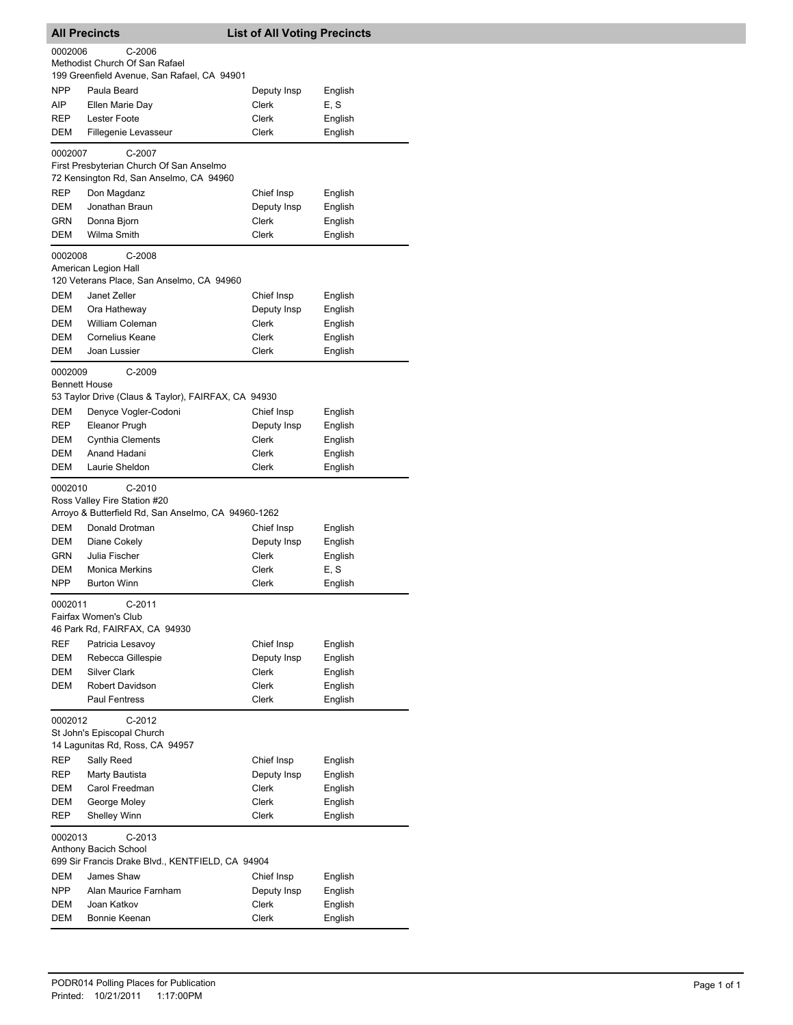|            | <b>All Precincts</b>                                                                            | <b>List of All Voting Precincts</b> |                    |
|------------|-------------------------------------------------------------------------------------------------|-------------------------------------|--------------------|
| 0002006    | $C-2006$<br>Methodist Church Of San Rafael                                                      |                                     |                    |
| <b>NPP</b> | 199 Greenfield Avenue, San Rafael, CA 94901<br>Paula Beard                                      |                                     | English            |
| AIP        | Ellen Marie Day                                                                                 | Deputy Insp<br><b>Clerk</b>         | E, S               |
| <b>REP</b> | Lester Foote                                                                                    | Clerk                               | English            |
| DEM        | Fillegenie Levasseur                                                                            | Clerk                               | English            |
| 0002007    | C-2007                                                                                          |                                     |                    |
|            | First Presbyterian Church Of San Anselmo<br>72 Kensington Rd, San Anselmo, CA 94960             |                                     |                    |
| REP        | Don Magdanz                                                                                     | Chief Insp                          | English            |
| DEM        | Jonathan Braun                                                                                  | Deputy Insp                         | English            |
| <b>GRN</b> | Donna Bjorn                                                                                     | Clerk                               | English            |
| DEM        | Wilma Smith                                                                                     | <b>Clerk</b>                        | English            |
| 0002008    | $C-2008$<br>American Legion Hall                                                                |                                     |                    |
| DEM        | 120 Veterans Place, San Anselmo, CA 94960<br>Janet Zeller                                       |                                     |                    |
| DEM        | Ora Hatheway                                                                                    | Chief Insp<br>Deputy Insp           | English<br>English |
| DEM        | <b>William Coleman</b>                                                                          | Clerk                               | English            |
| <b>DEM</b> | <b>Cornelius Keane</b>                                                                          | Clerk                               | English            |
| DEM        | Joan Lussier                                                                                    | <b>Clerk</b>                        | English            |
| 0002009    | $C-2009$<br><b>Bennett House</b>                                                                |                                     |                    |
|            | 53 Taylor Drive (Claus & Taylor), FAIRFAX, CA 94930                                             |                                     |                    |
| DEM        | Denyce Vogler-Codoni                                                                            | Chief Insp                          | English            |
| REP        | Eleanor Prugh                                                                                   | Deputy Insp                         | English            |
| DEM        | <b>Cynthia Clements</b>                                                                         | Clerk                               | English            |
| DEM        | Anand Hadani                                                                                    | Clerk                               | English            |
| DEM        | Laurie Sheldon                                                                                  | <b>Clerk</b>                        | English            |
| 0002010    | $C-2010$<br>Ross Valley Fire Station #20<br>Arroyo & Butterfield Rd, San Anselmo, CA 94960-1262 |                                     |                    |
| <b>DEM</b> | Donald Drotman                                                                                  | Chief Insp                          | English            |
| DEM        | Diane Cokely                                                                                    | Deputy Insp                         | English            |
| GRN        | Julia Fischer                                                                                   | <b>Clerk</b>                        | English            |
| DEM        | <b>Monica Merkins</b>                                                                           | Clerk                               | E.S                |
| NPP        | <b>Burton Winn</b>                                                                              | <b>Clerk</b>                        | English            |
| 0002011    | C-2011<br>Fairfax Women's Club<br>46 Park Rd, FAIRFAX, CA 94930                                 |                                     |                    |
| REF        | Patricia Lesavoy                                                                                | Chief Insp                          | English            |
| DEM        | Rebecca Gillespie                                                                               | Deputy Insp                         | English            |
| DEM        | <b>Silver Clark</b>                                                                             | Clerk                               | English            |
| DEM        | Robert Davidson                                                                                 | <b>Clerk</b>                        | English            |
|            | <b>Paul Fentress</b>                                                                            | Clerk                               | English            |
| 0002012    | C-2012                                                                                          |                                     |                    |
|            | St John's Episcopal Church<br>14 Lagunitas Rd, Ross, CA 94957                                   |                                     |                    |
| REP        | Sally Reed                                                                                      | Chief Insp                          | English            |
| REP        | Marty Bautista                                                                                  | Deputy Insp                         | English            |
| DEM        | Carol Freedman                                                                                  | Clerk                               | English            |
| DEM<br>REP | George Moley<br><b>Shelley Winn</b>                                                             | Clerk<br>Clerk                      | English<br>English |
|            |                                                                                                 |                                     |                    |
| 0002013    | $C-2013$<br>Anthony Bacich School                                                               |                                     |                    |
|            | 699 Sir Francis Drake Blvd., KENTFIELD, CA 94904                                                |                                     |                    |
| DEM        | James Shaw                                                                                      | Chief Insp                          | English            |
| NPP        | Alan Maurice Farnham                                                                            | Deputy Insp                         | English            |
| DEM        | Joan Katkov                                                                                     | Clerk                               | English            |
| DEM        | Bonnie Keenan                                                                                   | Clerk                               | English            |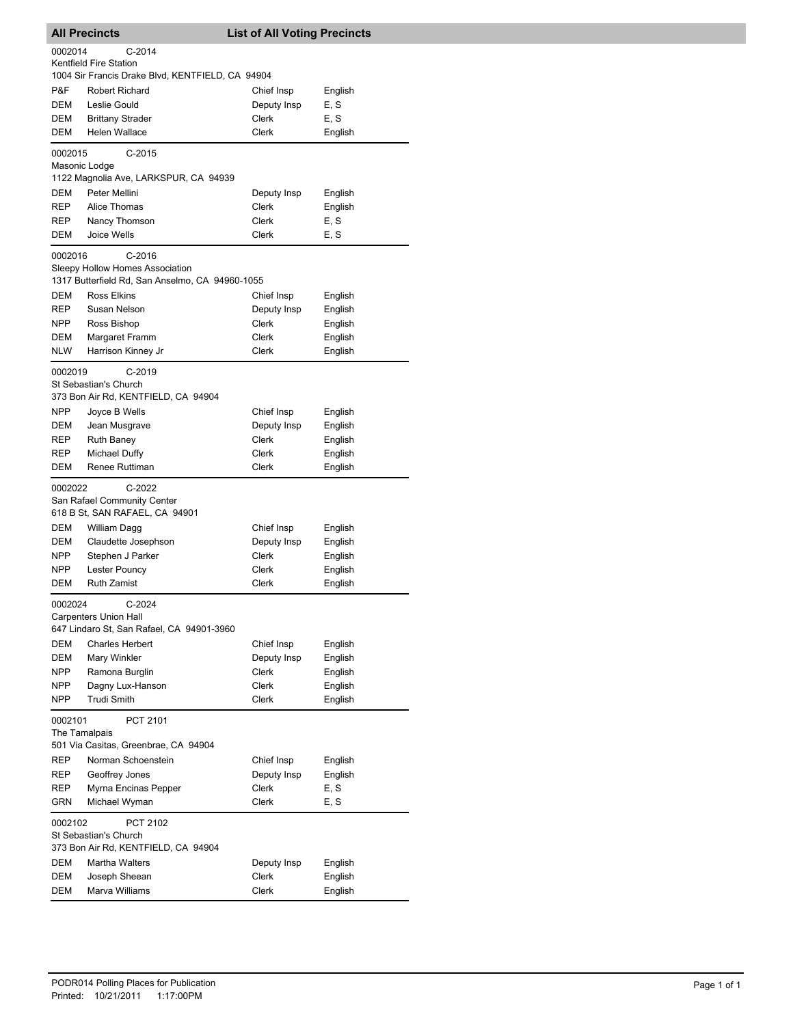|                   | <b>All Precincts</b>                                                                           | <b>List of All Voting Precincts</b> |                    |  |  |
|-------------------|------------------------------------------------------------------------------------------------|-------------------------------------|--------------------|--|--|
| 0002014           | $C-2014$                                                                                       |                                     |                    |  |  |
|                   | Kentfield Fire Station<br>1004 Sir Francis Drake Blvd, KENTFIELD, CA 94904                     |                                     |                    |  |  |
| P&F               | Robert Richard                                                                                 | Chief Insp                          | English            |  |  |
| DEM               | Leslie Gould                                                                                   | Deputy Insp                         | E, S               |  |  |
| DEM               | <b>Brittany Strader</b>                                                                        | Clerk                               | E, S               |  |  |
| DEM               | Helen Wallace                                                                                  | Clerk                               | English            |  |  |
| 0002015           | $C-2015$                                                                                       |                                     |                    |  |  |
|                   | Masonic Lodge<br>1122 Magnolia Ave, LARKSPUR, CA 94939                                         |                                     |                    |  |  |
| DEM               | Peter Mellini                                                                                  | Deputy Insp                         | English            |  |  |
| REP               | Alice Thomas                                                                                   | Clerk                               | English            |  |  |
| REP               | Nancy Thomson                                                                                  | Clerk                               | E, S               |  |  |
| DEM               | <b>Joice Wells</b>                                                                             | Clerk                               | E, S               |  |  |
| 0002016           | $C-2016$<br>Sleepy Hollow Homes Association<br>1317 Butterfield Rd, San Anselmo, CA 94960-1055 |                                     |                    |  |  |
| DEM               | Ross Elkins                                                                                    | Chief Insp                          | English            |  |  |
| REP               | Susan Nelson                                                                                   | Deputy Insp                         | English            |  |  |
| NPP               | Ross Bishop                                                                                    | Clerk                               | English            |  |  |
| DEM               | Margaret Framm                                                                                 | Clerk                               | English            |  |  |
| <b>NLW</b>        | Harrison Kinney Jr                                                                             | <b>Clerk</b>                        | English            |  |  |
| 0002019           | $C-2019$                                                                                       |                                     |                    |  |  |
|                   | St Sebastian's Church                                                                          |                                     |                    |  |  |
|                   | 373 Bon Air Rd, KENTFIELD, CA 94904                                                            |                                     |                    |  |  |
| <b>NPP</b><br>DEM | Joyce B Wells<br>Jean Musgrave                                                                 | Chief Insp<br>Deputy Insp           | English<br>English |  |  |
| REP               | <b>Ruth Baney</b>                                                                              | Clerk                               | English            |  |  |
| REP               | Michael Duffy                                                                                  | Clerk                               | English            |  |  |
| DEM               | Renee Ruttiman                                                                                 | <b>Clerk</b>                        | English            |  |  |
| 0002022           | C-2022                                                                                         |                                     |                    |  |  |
|                   | San Rafael Community Center                                                                    |                                     |                    |  |  |
|                   | 618 B St, SAN RAFAEL, CA 94901                                                                 |                                     |                    |  |  |
| DEM               | William Dagg                                                                                   | Chief Insp                          | English            |  |  |
| DEM<br>NPP        | Claudette Josephson<br>Stephen J Parker                                                        | Deputy Insp<br><b>Clerk</b>         | English<br>English |  |  |
| <b>NPP</b>        | Lester Pouncy                                                                                  | Clerk                               | English            |  |  |
| DEM               | <b>Ruth Zamist</b>                                                                             | <b>Clerk</b>                        | English            |  |  |
| 0002024           | C-2024                                                                                         |                                     |                    |  |  |
|                   | <b>Carpenters Union Hall</b>                                                                   |                                     |                    |  |  |
|                   | 647 Lindaro St, San Rafael, CA 94901-3960                                                      |                                     |                    |  |  |
| DEM               | <b>Charles Herbert</b>                                                                         | Chief Insp                          | English            |  |  |
| DEM               | Mary Winkler                                                                                   | Deputy Insp                         | English            |  |  |
| <b>NPP</b>        | Ramona Burglin                                                                                 | Clerk                               | English            |  |  |
| NPP<br><b>NPP</b> | Dagny Lux-Hanson<br><b>Trudi Smith</b>                                                         | Clerk<br>Clerk                      | English<br>English |  |  |
|                   |                                                                                                |                                     |                    |  |  |
| 0002101           | PCT 2101<br>The Tamalpais                                                                      |                                     |                    |  |  |
|                   | 501 Via Casitas, Greenbrae, CA 94904                                                           |                                     |                    |  |  |
| REP               | Norman Schoenstein                                                                             | Chief Insp                          | English            |  |  |
| REP               | Geoffrey Jones                                                                                 | Deputy Insp                         | English            |  |  |
| REP               | Myrna Encinas Pepper                                                                           | Clerk                               | E, S               |  |  |
| GRN               | Michael Wyman                                                                                  | Clerk                               | E, S               |  |  |
|                   | 0002102<br>PCT 2102<br>St Sebastian's Church<br>373 Bon Air Rd, KENTFIELD, CA 94904            |                                     |                    |  |  |
| DEM               | <b>Martha Walters</b>                                                                          | Deputy Insp                         | English            |  |  |
| DEM               | Joseph Sheean                                                                                  | Clerk                               | English            |  |  |
| DEM               | Marva Williams                                                                                 | Clerk                               | English            |  |  |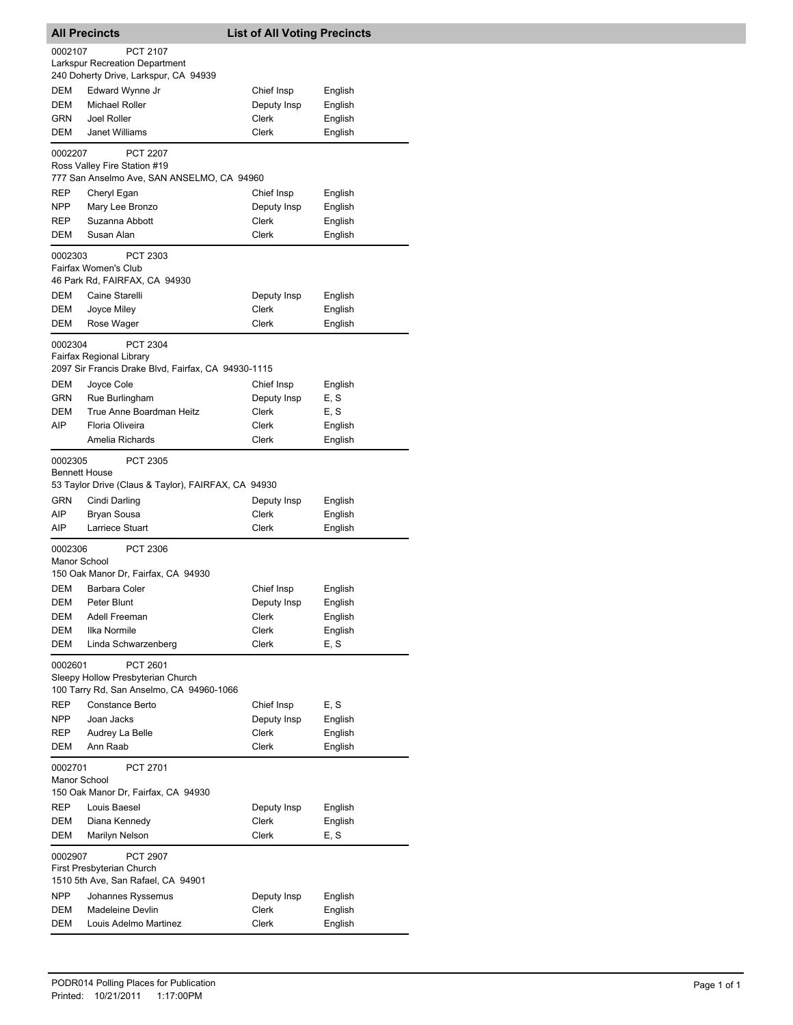|                                 | <b>All Precincts</b>                                                               | <b>List of All Voting Precincts</b> |                    |
|---------------------------------|------------------------------------------------------------------------------------|-------------------------------------|--------------------|
| 0002107                         | <b>PCT 2107</b>                                                                    |                                     |                    |
|                                 | <b>Larkspur Recreation Department</b>                                              |                                     |                    |
|                                 | 240 Doherty Drive, Larkspur, CA 94939                                              |                                     |                    |
| DEM                             | Edward Wynne Jr                                                                    | Chief Insp                          | English            |
| DEM                             | <b>Michael Roller</b>                                                              | Deputy Insp                         | English            |
| GRN                             | Joel Roller                                                                        | <b>Clerk</b>                        | English            |
| DEM                             | Janet Williams                                                                     | Clerk                               | English            |
| 0002207                         | <b>PCT 2207</b><br>Ross Valley Fire Station #19                                    |                                     |                    |
|                                 | 777 San Anselmo Ave, SAN ANSELMO, CA 94960                                         |                                     |                    |
| REP                             | Cheryl Egan                                                                        | Chief Insp                          | English            |
| NPP                             | Mary Lee Bronzo                                                                    | Deputy Insp                         | English            |
| REP                             | Suzanna Abbott                                                                     | Clerk                               | English            |
| DEM                             | Susan Alan                                                                         | Clerk                               | English            |
| 0002303                         | PCT 2303                                                                           |                                     |                    |
|                                 | Fairfax Women's Club                                                               |                                     |                    |
|                                 | 46 Park Rd, FAIRFAX, CA 94930                                                      |                                     |                    |
| DEM                             | Caine Starelli                                                                     | Deputy Insp                         | English            |
| DEM                             | Joyce Miley                                                                        | Clerk                               | English            |
| DEM                             | Rose Wager                                                                         | Clerk                               | English            |
| 0002304                         | <b>PCT 2304</b>                                                                    |                                     |                    |
|                                 | Fairfax Regional Library<br>2097 Sir Francis Drake Blvd, Fairfax, CA 94930-1115    |                                     |                    |
| DEM                             | Joyce Cole                                                                         | Chief Insp                          | English            |
| GRN                             | Rue Burlingham                                                                     | Deputy Insp                         | E, S               |
| DEM                             | True Anne Boardman Heitz                                                           | Clerk                               | E, S               |
| AIP.                            | Floria Oliveira                                                                    | Clerk                               | English            |
|                                 | Amelia Richards                                                                    | Clerk                               | English            |
| 0002305<br><b>Bennett House</b> | PCT 2305                                                                           |                                     |                    |
|                                 | 53 Taylor Drive (Claus & Taylor), FAIRFAX, CA 94930                                |                                     |                    |
| GRN                             | Cindi Darling                                                                      | Deputy Insp                         | English            |
| AIP<br>AIP                      | Bryan Sousa<br>Larriece Stuart                                                     | Clerk<br>Clerk                      | English<br>English |
|                                 |                                                                                    |                                     |                    |
| 0002306<br>Manor School         | PCT 2306<br>150 Oak Manor Dr, Fairfax, CA 94930                                    |                                     |                    |
| DEM                             | <b>Barbara Coler</b>                                                               | Chief Insp                          |                    |
| DEM                             | Peter Blunt                                                                        | Deputy Insp                         | English<br>English |
| DEM                             | Adell Freeman                                                                      | Clerk                               | English            |
| DEM                             | Ilka Normile                                                                       | Clerk                               | English            |
| DEM                             | Linda Schwarzenberg                                                                | Clerk                               | E, S               |
| 0002601                         | PCT 2601<br>Sleepy Hollow Presbyterian Church                                      |                                     |                    |
|                                 | 100 Tarry Rd, San Anselmo, CA 94960-1066                                           |                                     |                    |
| REP                             | Constance Berto                                                                    | Chief Insp                          | E, S               |
| <b>NPP</b>                      | Joan Jacks                                                                         | Deputy Insp                         | English            |
| REP                             | Audrey La Belle                                                                    | Clerk                               | English            |
| DEM                             | Ann Raab                                                                           | Clerk                               | English            |
| 0002701                         | PCT 2701                                                                           |                                     |                    |
| Manor School                    | 150 Oak Manor Dr, Fairfax, CA 94930                                                |                                     |                    |
| REP                             | Louis Baesel                                                                       | Deputy Insp                         | English            |
| DEM                             | Diana Kennedy                                                                      | Clerk                               | English            |
| DEM                             | Marilyn Nelson                                                                     | Clerk                               | E, S               |
| 0002907                         | <b>PCT 2907</b><br>First Presbyterian Church<br>1510 5th Ave, San Rafael, CA 94901 |                                     |                    |
| <b>NPP</b>                      | Johannes Ryssemus                                                                  | Deputy Insp                         | English            |
| DEM                             | Madeleine Devlin                                                                   | Clerk                               | English            |
| DEM                             | Louis Adelmo Martinez                                                              | Clerk                               | English            |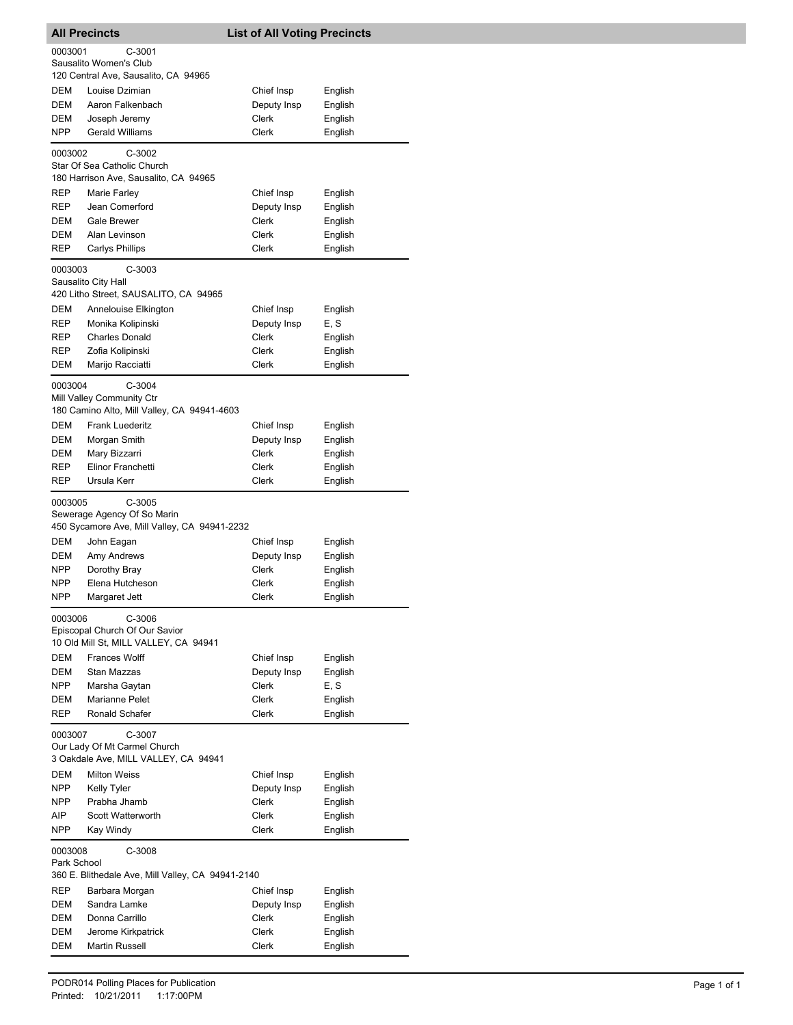|                                                                                           | <b>All Precincts</b>                                                                    | <b>List of All Voting Precincts</b> |         |
|-------------------------------------------------------------------------------------------|-----------------------------------------------------------------------------------------|-------------------------------------|---------|
| 0003001                                                                                   | C-3001                                                                                  |                                     |         |
|                                                                                           | Sausalito Women's Club                                                                  |                                     |         |
|                                                                                           | 120 Central Ave, Sausalito, CA 94965                                                    |                                     |         |
| <b>DEM</b>                                                                                | Louise Dzimian                                                                          | Chief Insp                          | English |
| DEM                                                                                       | Aaron Falkenbach                                                                        | Deputy Insp                         | English |
| <b>DEM</b>                                                                                | Joseph Jeremy                                                                           | Clerk                               | English |
| <b>NPP</b>                                                                                | <b>Gerald Williams</b>                                                                  | Clerk                               | English |
| 0003002                                                                                   | $C-3002$<br>Star Of Sea Catholic Church<br>180 Harrison Ave, Sausalito, CA 94965        |                                     |         |
| REP                                                                                       | Marie Farley                                                                            | Chief Insp                          | English |
| REP                                                                                       | Jean Comerford                                                                          | Deputy Insp                         | English |
| DEM                                                                                       | <b>Gale Brewer</b>                                                                      | Clerk                               | English |
| <b>DEM</b>                                                                                | Alan Levinson                                                                           | Clerk                               | English |
| REP                                                                                       | <b>Carlys Phillips</b>                                                                  | Clerk                               | English |
| 0003003                                                                                   | C-3003<br>Sausalito City Hall<br>420 Litho Street, SAUSALITO, CA 94965                  |                                     |         |
| DEM                                                                                       | Annelouise Elkington                                                                    | Chief Insp                          | English |
| REP                                                                                       | Monika Kolipinski                                                                       | Deputy Insp                         | E, S    |
| REP                                                                                       | <b>Charles Donald</b>                                                                   | Clerk                               | English |
| REP                                                                                       | Zofia Kolipinski                                                                        | Clerk                               | English |
| DEM                                                                                       | Marijo Racciatti                                                                        | Clerk                               | English |
| 0003004                                                                                   | $C-3004$<br>Mill Valley Community Ctr<br>180 Camino Alto, Mill Valley, CA 94941-4603    |                                     |         |
| DEM                                                                                       | Frank Luederitz                                                                         | Chief Insp                          | English |
| DEM                                                                                       | Morgan Smith                                                                            | Deputy Insp                         | English |
| DEM                                                                                       | Mary Bizzarri                                                                           | Clerk                               | English |
| REP                                                                                       | Elinor Franchetti                                                                       | Clerk                               | English |
| REP                                                                                       | Ursula Kerr                                                                             | Clerk                               | English |
| 0003005                                                                                   | $C-3005$<br>Sewerage Agency Of So Marin<br>450 Sycamore Ave, Mill Valley, CA 94941-2232 |                                     |         |
| DEM                                                                                       | John Eagan                                                                              | Chief Insp                          | English |
| DEM                                                                                       | Amy Andrews                                                                             | Deputy Insp                         | English |
| <b>NPP</b>                                                                                | Dorothy Bray                                                                            | Clerk                               | English |
| NPP                                                                                       | Elena Hutcheson                                                                         | Clerk                               | English |
| <b>NPP</b>                                                                                | Margaret Jett                                                                           | Clerk                               | English |
| 0003006                                                                                   | C-3006<br>Episcopal Church Of Our Savior<br>10 Old Mill St, MILL VALLEY, CA 94941       |                                     |         |
| DEM                                                                                       | <b>Frances Wolff</b>                                                                    | Chief Insp                          | English |
| DEM                                                                                       | Stan Mazzas                                                                             | Deputy Insp                         | English |
| NPP                                                                                       | Marsha Gaytan                                                                           | Clerk                               | E, S    |
| DEM                                                                                       | Marianne Pelet                                                                          | Clerk                               | English |
| REP                                                                                       | Ronald Schafer                                                                          | Clerk                               | English |
| C-3007<br>0003007<br>Our Lady Of Mt Carmel Church<br>3 Oakdale Ave, MILL VALLEY, CA 94941 |                                                                                         |                                     |         |
| DEM                                                                                       | <b>Milton Weiss</b>                                                                     | Chief Insp                          | English |
| NPP                                                                                       | Kelly Tyler                                                                             | Deputy Insp                         | English |
| NPP                                                                                       | Prabha Jhamb                                                                            | <b>Clerk</b>                        | English |
| AIP                                                                                       | Scott Watterworth                                                                       | Clerk                               | English |
| NPP                                                                                       | Kay Windy                                                                               | Clerk                               | English |
| 0003008<br>Park School                                                                    | C-3008<br>360 E. Blithedale Ave, Mill Valley, CA 94941-2140                             |                                     |         |
| REP                                                                                       | Barbara Morgan                                                                          | Chief Insp                          | English |
| DEM                                                                                       | Sandra Lamke                                                                            | Deputy Insp                         | English |
| <b>DEM</b>                                                                                | Donna Carrillo                                                                          | Clerk                               | English |
| DEM                                                                                       | Jerome Kirkpatrick                                                                      | Clerk                               | English |
| DEM                                                                                       | Martin Russell                                                                          | Clerk                               | English |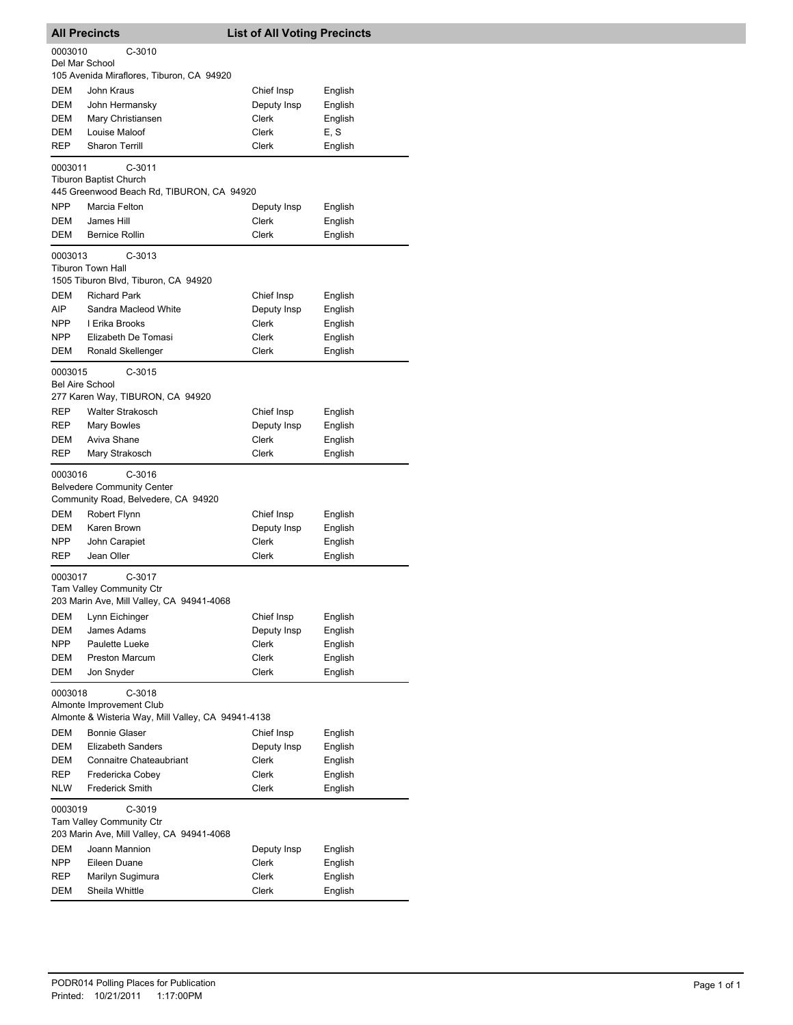| <b>All Precincts</b>                                                                                  |                                                                                                                                      | <b>List of All Voting Precincts</b> |                               |
|-------------------------------------------------------------------------------------------------------|--------------------------------------------------------------------------------------------------------------------------------------|-------------------------------------|-------------------------------|
| 0003010                                                                                               | $C-3010$                                                                                                                             |                                     |                               |
| Del Mar School                                                                                        |                                                                                                                                      |                                     |                               |
|                                                                                                       | 105 Avenida Miraflores, Tiburon, CA 94920                                                                                            |                                     |                               |
| DEM                                                                                                   | John Kraus                                                                                                                           | Chief Insp                          | English                       |
| DEM                                                                                                   | John Hermansky                                                                                                                       | Deputy Insp                         | English                       |
| <b>DEM</b>                                                                                            | Mary Christiansen                                                                                                                    | Clerk                               | English                       |
| <b>DEM</b>                                                                                            | Louise Maloof<br><b>Sharon Terrill</b>                                                                                               | Clerk                               | E, S                          |
| REP                                                                                                   |                                                                                                                                      | Clerk                               | English                       |
| 0003011                                                                                               | $C-3011$<br><b>Tiburon Baptist Church</b><br>445 Greenwood Beach Rd, TIBURON, CA 94920                                               |                                     |                               |
| <b>NPP</b>                                                                                            | Marcia Felton                                                                                                                        | Deputy Insp                         | English                       |
| DEM                                                                                                   | James Hill                                                                                                                           | Clerk                               | English                       |
| <b>DEM</b>                                                                                            | <b>Bernice Rollin</b>                                                                                                                | <b>Clerk</b>                        | English                       |
| 0003013                                                                                               | $C-3013$<br><b>Tiburon Town Hall</b><br>1505 Tiburon Blvd, Tiburon, CA 94920                                                         |                                     |                               |
| DEM                                                                                                   | <b>Richard Park</b>                                                                                                                  | Chief Insp                          | English                       |
| AIP.<br><b>NPP</b>                                                                                    | Sandra Macleod White<br>I Erika Brooks                                                                                               | Deputy Insp<br>Clerk                | English                       |
| <b>NPP</b>                                                                                            | Elizabeth De Tomasi                                                                                                                  | Clerk                               | English<br>English            |
| DEM                                                                                                   | Ronald Skellenger                                                                                                                    | Clerk                               | English                       |
|                                                                                                       |                                                                                                                                      |                                     |                               |
| 0003015<br><b>Bel Aire School</b>                                                                     | $C-3015$<br>277 Karen Way, TIBURON, CA 94920                                                                                         |                                     |                               |
| REP                                                                                                   | <b>Walter Strakosch</b>                                                                                                              | Chief Insp                          | English                       |
| REP                                                                                                   | Mary Bowles                                                                                                                          | Deputy Insp                         | English                       |
| DEM                                                                                                   | Aviva Shane                                                                                                                          | Clerk                               | English                       |
| REP                                                                                                   | Mary Strakosch                                                                                                                       | Clerk                               | English                       |
| 0003016<br>DEM<br>DEM<br><b>NPP</b>                                                                   | $C-3016$<br><b>Belvedere Community Center</b><br>Community Road, Belvedere, CA 94920<br>Robert Flynn<br>Karen Brown<br>John Carapiet | Chief Insp<br>Deputy Insp<br>Clerk  | English<br>English<br>English |
| REP                                                                                                   | Jean Oller                                                                                                                           | Clerk                               | English                       |
| 0003017                                                                                               | C-3017<br>Tam Valley Community Ctr<br>203 Marin Ave, Mill Valley, CA 94941-4068                                                      |                                     |                               |
| DEM                                                                                                   | Lynn Eichinger                                                                                                                       | Chief Insp                          | English                       |
| DEM<br><b>NPP</b>                                                                                     | James Adams<br>Paulette Lueke                                                                                                        | Deputy Insp<br>Clerk                | English<br>English            |
| DEM                                                                                                   | <b>Preston Marcum</b>                                                                                                                | Clerk                               | English                       |
| DEM                                                                                                   | Jon Snyder                                                                                                                           | Clerk                               | English                       |
| 0003018<br>$C-3018$<br>Almonte Improvement Club<br>Almonte & Wisteria Way, Mill Valley, CA 94941-4138 |                                                                                                                                      |                                     |                               |
| DEM                                                                                                   | <b>Bonnie Glaser</b>                                                                                                                 | Chief Insp                          | English                       |
| DEM                                                                                                   | <b>Elizabeth Sanders</b>                                                                                                             | Deputy Insp                         | English<br>English            |
| DEM<br><b>REP</b>                                                                                     | Connaitre Chateaubriant<br>Fredericka Cobey                                                                                          | Clerk<br><b>Clerk</b>               | English                       |
| <b>NLW</b>                                                                                            | <b>Frederick Smith</b>                                                                                                               | Clerk                               | English                       |
| 0003019                                                                                               | $C-3019$                                                                                                                             |                                     |                               |
|                                                                                                       | <b>Tam Valley Community Ctr</b><br>203 Marin Ave, Mill Valley, CA 94941-4068                                                         |                                     |                               |
| DEM                                                                                                   | Joann Mannion                                                                                                                        | Deputy Insp                         | English                       |
| NPP                                                                                                   | Eileen Duane                                                                                                                         | Clerk                               | English                       |
| REP                                                                                                   | Marilyn Sugimura                                                                                                                     | Clerk                               | English                       |
| <b>DEM</b>                                                                                            | Sheila Whittle                                                                                                                       | Clerk                               | English                       |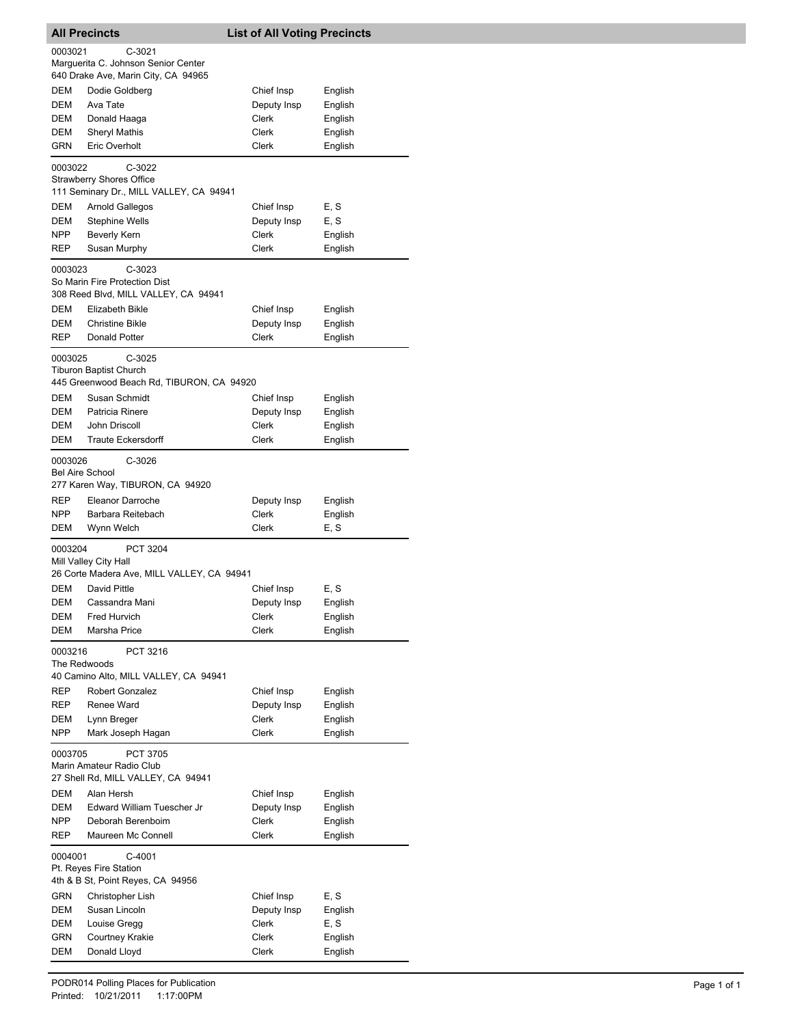|                                   | <b>All Precincts</b>                                                                   | <b>List of All Voting Precincts</b> |                    |
|-----------------------------------|----------------------------------------------------------------------------------------|-------------------------------------|--------------------|
| 0003021                           | $C-3021$<br>Marguerita C. Johnson Senior Center                                        |                                     |                    |
|                                   | 640 Drake Ave, Marin City, CA 94965                                                    |                                     |                    |
| DEM                               | Dodie Goldberg                                                                         | Chief Insp                          | English            |
| DEM                               | Ava Tate                                                                               | Deputy Insp                         | English            |
| DEM<br>DEM                        | Donald Haaga<br><b>Sheryl Mathis</b>                                                   | Clerk<br>Clerk                      | English            |
| <b>GRN</b>                        | Eric Overholt                                                                          | Clerk                               | English<br>English |
|                                   |                                                                                        |                                     |                    |
| 0003022                           | $C-3022$<br><b>Strawberry Shores Office</b><br>111 Seminary Dr., MILL VALLEY, CA 94941 |                                     |                    |
| <b>DEM</b>                        | Arnold Gallegos                                                                        | Chief Insp                          | E, S               |
| DEM                               | <b>Stephine Wells</b>                                                                  | Deputy Insp                         | E, S               |
| <b>NPP</b>                        | <b>Beverly Kern</b>                                                                    | Clerk                               | English            |
| REP                               | Susan Murphy                                                                           | Clerk                               | English            |
| 0003023                           | $C-3023$<br>So Marin Fire Protection Dist<br>308 Reed Blvd, MILL VALLEY, CA 94941      |                                     |                    |
| DEM                               | <b>Elizabeth Bikle</b>                                                                 | Chief Insp                          | English            |
| DEM                               | <b>Christine Bikle</b>                                                                 | Deputy Insp                         | English            |
| REP                               | Donald Potter                                                                          | Clerk                               | English            |
| 0003025                           | $C-3025$<br><b>Tiburon Baptist Church</b>                                              |                                     |                    |
|                                   | 445 Greenwood Beach Rd, TIBURON, CA 94920                                              |                                     |                    |
| DEM                               | Susan Schmidt                                                                          | Chief Insp                          | English            |
| DEM                               | Patricia Rinere                                                                        | Deputy Insp                         | English            |
| DEM                               | John Driscoll                                                                          | Clerk                               | English            |
| <b>DEM</b>                        | <b>Traute Eckersdorff</b>                                                              | Clerk                               | English            |
| 0003026<br><b>Bel Aire School</b> | C-3026<br>277 Karen Way, TIBURON, CA 94920                                             |                                     |                    |
| REP                               | Eleanor Darroche                                                                       | Deputy Insp                         | English            |
| <b>NPP</b>                        | Barbara Reitebach                                                                      | Clerk                               | English            |
| <b>DEM</b>                        | Wynn Welch                                                                             | <b>Clerk</b>                        | E, S               |
| 0003204                           | PCT 3204<br>Mill Valley City Hall<br>26 Corte Madera Ave, MILL VALLEY, CA 94941        |                                     |                    |
| DEM                               | David Pittle                                                                           | Chief Insp                          | E, S               |
|                                   | DEM Cassandra Mani                                                                     | Deputy Insp                         | English            |
| DEM                               | Fred Hurvich                                                                           | Clerk                               | English            |
| DEM                               | Marsha Price                                                                           | Clerk                               | English            |
| 0003216<br>The Redwoods           | PCT 3216                                                                               |                                     |                    |
|                                   | 40 Camino Alto, MILL VALLEY, CA 94941                                                  |                                     |                    |
| REP                               | Robert Gonzalez                                                                        | Chief Insp                          | English            |
| REP                               | Renee Ward                                                                             | Deputy Insp                         | English            |
| DEM                               | Lynn Breger                                                                            | Clerk                               | English            |
| <b>NPP</b><br>0003705             | Mark Joseph Hagan<br><b>PCT 3705</b>                                                   | Clerk                               | English            |
|                                   | Marin Amateur Radio Club<br>27 Shell Rd, MILL VALLEY, CA 94941                         |                                     |                    |
|                                   |                                                                                        |                                     |                    |
| DEM<br>DEM                        | Alan Hersh                                                                             | Chief Insp                          | English            |
| NPP                               | Edward William Tuescher Jr<br>Deborah Berenboim                                        | Deputy Insp<br>Clerk                | English<br>English |
| REP                               | Maureen Mc Connell                                                                     | Clerk                               | English            |
| 0004001                           | C-4001<br>Pt. Reyes Fire Station                                                       |                                     |                    |
|                                   | 4th & B St, Point Reyes, CA 94956                                                      |                                     |                    |
| GRN                               | Christopher Lish                                                                       | Chief Insp                          | E, S               |
| DEM                               | Susan Lincoln                                                                          | Deputy Insp                         | English            |
| DEM                               | Louise Gregg                                                                           | Clerk                               | E, S               |
| GRN                               | Courtney Krakie                                                                        | Clerk                               | English            |
| DEM                               | Donald Lloyd                                                                           | Clerk                               | English            |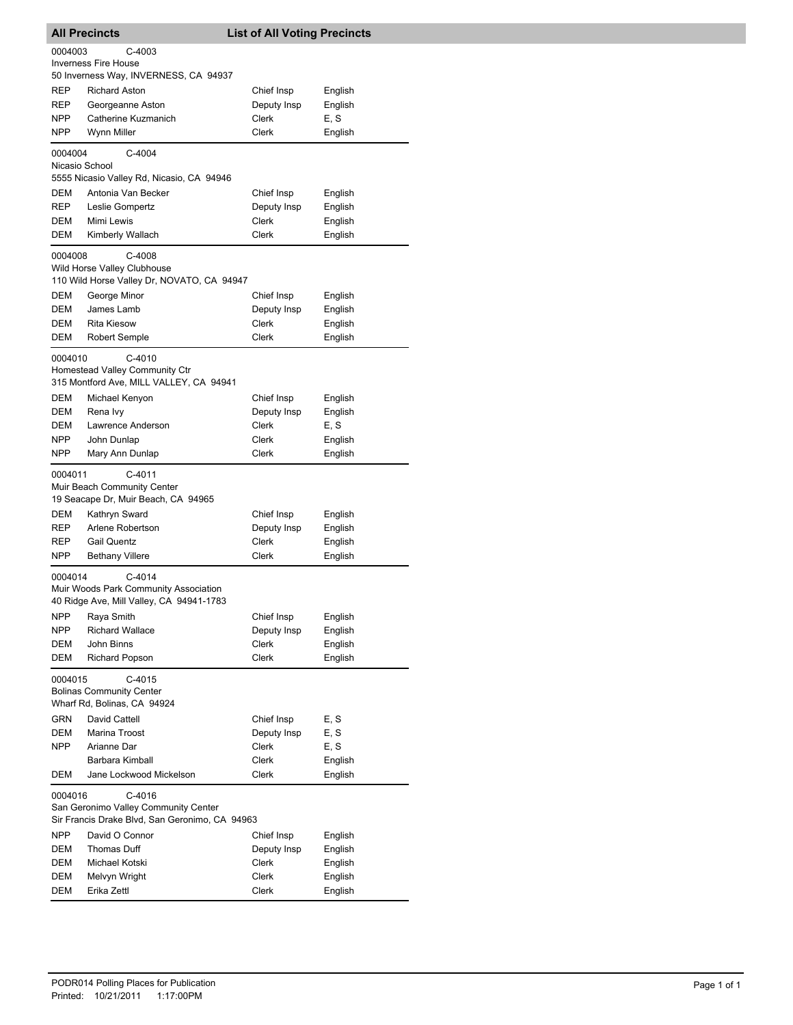|                | <b>All Precincts</b>                                                                             | <b>List of All Voting Precincts</b> |                    |
|----------------|--------------------------------------------------------------------------------------------------|-------------------------------------|--------------------|
| 0004003        | C-4003                                                                                           |                                     |                    |
|                | <b>Inverness Fire House</b>                                                                      |                                     |                    |
|                | 50 Inverness Way, INVERNESS, CA 94937                                                            |                                     |                    |
| REP            | <b>Richard Aston</b>                                                                             | Chief Insp                          | English            |
| REP            | Georgeanne Aston                                                                                 | Deputy Insp                         | English            |
| NPP            | Catherine Kuzmanich                                                                              | Clerk                               | E, S               |
| NPP            | Wynn Miller                                                                                      | <b>Clerk</b>                        | English            |
| 0004004        | $C-4004$                                                                                         |                                     |                    |
| Nicasio School |                                                                                                  |                                     |                    |
|                | 5555 Nicasio Valley Rd, Nicasio, CA 94946                                                        |                                     |                    |
| DEM            | Antonia Van Becker                                                                               | Chief Insp                          | English            |
| REP            | Leslie Gompertz                                                                                  | Deputy Insp                         | English            |
| DEM            | Mimi Lewis                                                                                       | Clerk                               | English            |
| DEM            | Kimberly Wallach                                                                                 | Clerk                               | English            |
| 0004008        | C-4008<br>Wild Horse Valley Clubhouse<br>110 Wild Horse Valley Dr, NOVATO, CA 94947              |                                     |                    |
| DEM            | George Minor                                                                                     | Chief Insp                          | English            |
| DEM            | James Lamb                                                                                       | Deputy Insp                         | English            |
| DEM            | <b>Rita Kiesow</b>                                                                               | Clerk                               | English            |
| DEM            | Robert Semple                                                                                    | Clerk                               | English            |
| 0004010        | $C-4010$<br>Homestead Valley Community Ctr<br>315 Montford Ave, MILL VALLEY, CA 94941            |                                     |                    |
| DEM            | Michael Kenyon                                                                                   | Chief Insp                          | English            |
| DEM            | Rena Ivy                                                                                         | Deputy Insp                         | English            |
| DEM            | Lawrence Anderson                                                                                | Clerk                               | E, S               |
| NPP.           | John Dunlap                                                                                      | Clerk                               | English            |
| NPP            | Mary Ann Dunlap                                                                                  | Clerk                               | English            |
| 0004011<br>DEM | $C-4011$<br>Muir Beach Community Center<br>19 Seacape Dr, Muir Beach, CA 94965<br>Kathryn Sward  | Chief Insp                          | English            |
| REP            | Arlene Robertson                                                                                 | Deputy Insp                         | English            |
| REP            | <b>Gail Quentz</b>                                                                               | Clerk                               | English            |
| <b>NPP</b>     | <b>Bethany Villere</b>                                                                           | Clerk                               | English            |
| 0004014        | $C-4014$<br>Muir Woods Park Community Association<br>40 Ridge Ave, Mill Valley, CA 94941-1783    |                                     |                    |
| NPP            | Raya Smith                                                                                       | Chief Insp                          | English            |
| NPP            | <b>Richard Wallace</b><br>John Binns                                                             | Deputy Insp<br>Clerk                | English            |
| DEM<br>DEM     | <b>Richard Popson</b>                                                                            | Clerk                               | English<br>English |
|                |                                                                                                  |                                     |                    |
| 0004015        | C-4015<br><b>Bolinas Community Center</b><br>Wharf Rd, Bolinas, CA 94924                         |                                     |                    |
| GRN            | David Cattell                                                                                    | Chief Insp                          | E, S               |
| <b>DEM</b>     | Marina Troost                                                                                    | Deputy Insp                         | E, S               |
| <b>NPP</b>     | Arianne Dar                                                                                      | Clerk                               | E, S               |
|                | Barbara Kimball                                                                                  | Clerk                               | English            |
| DEM            | Jane Lockwood Mickelson                                                                          | Clerk                               | English            |
| 0004016        | C-4016<br>San Geronimo Valley Community Center<br>Sir Francis Drake Blvd, San Geronimo, CA 94963 |                                     |                    |
| <b>NPP</b>     | David O Connor                                                                                   | Chief Insp                          | English            |
| DEM            | Thomas Duff                                                                                      | Deputy Insp                         | English            |
| DEM            | Michael Kotski                                                                                   | Clerk                               | English            |
| DEM            | Melvyn Wright                                                                                    | Clerk                               | English            |
| DEM            | Erika Zettl                                                                                      | Clerk                               | English            |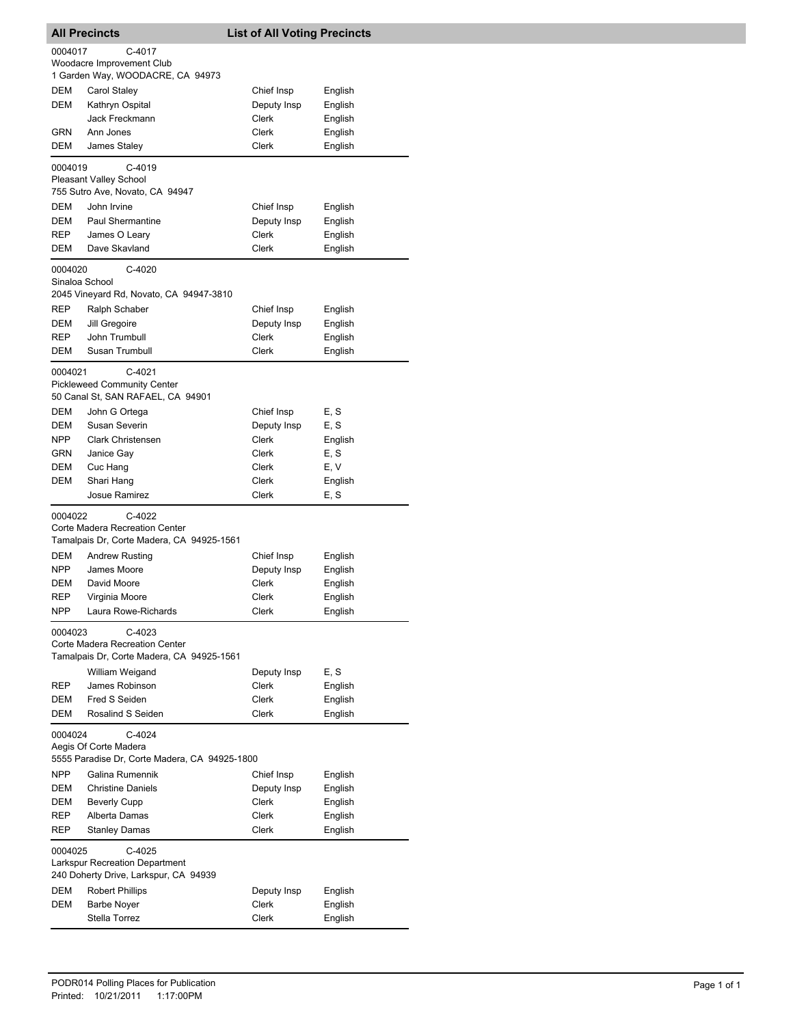| <b>All Precincts</b> |                                                                                       | <b>List of All Voting Precincts</b> |         |
|----------------------|---------------------------------------------------------------------------------------|-------------------------------------|---------|
| 0004017              | C-4017                                                                                |                                     |         |
|                      | Woodacre Improvement Club                                                             |                                     |         |
|                      | 1 Garden Way, WOODACRE, CA 94973                                                      |                                     |         |
| DEM                  | Carol Staley                                                                          | Chief Insp                          | English |
| <b>DEM</b>           | Kathryn Ospital                                                                       | Deputy Insp                         | English |
|                      | Jack Freckmann                                                                        | Clerk                               | English |
| GRN                  | Ann Jones                                                                             | Clerk                               | English |
| DEM                  | James Staley                                                                          | Clerk                               | English |
|                      |                                                                                       |                                     |         |
| 0004019              | $C-4019$<br>Pleasant Valley School<br>755 Sutro Ave, Novato, CA 94947                 |                                     |         |
| DEM                  | John Irvine                                                                           | Chief Insp                          | English |
| DEM                  | <b>Paul Shermantine</b>                                                               | Deputy Insp                         | English |
| REP                  | James O Leary                                                                         | Clerk                               | English |
| DEM                  | Dave Skavland                                                                         | Clerk                               | English |
| 0004020              | $C-4020$                                                                              |                                     |         |
| Sinaloa School       | 2045 Vineyard Rd, Novato, CA 94947-3810                                               |                                     |         |
| REP                  | Ralph Schaber                                                                         | Chief Insp                          | English |
| DEM                  | Jill Gregoire                                                                         | Deputy Insp                         | English |
| REP                  | John Trumbull                                                                         | Clerk                               | English |
| DEM                  | Susan Trumbull                                                                        | Clerk                               | English |
| 0004021              | C-4021<br><b>Pickleweed Community Center</b><br>50 Canal St, SAN RAFAEL, CA 94901     |                                     |         |
| DEM                  | John G Ortega                                                                         | Chief Insp                          | E, S    |
| DEM                  | Susan Severin                                                                         | Deputy Insp                         | E, S    |
| NPP                  | <b>Clark Christensen</b>                                                              | Clerk                               | English |
| GRN                  | Janice Gay                                                                            | Clerk                               | E, S    |
| DEM                  | Cuc Hang                                                                              | Clerk                               | E, V    |
| DEM                  | Shari Hang                                                                            | Clerk                               | English |
|                      | Josue Ramirez                                                                         | Clerk                               | E, S    |
| 0004022              | $C-4022$<br>Corte Madera Recreation Center                                            |                                     |         |
|                      | Tamalpais Dr, Corte Madera, CA 94925-1561                                             |                                     |         |
| DEM                  | <b>Andrew Rusting</b>                                                                 | Chief Insp                          | English |
| NPP                  | James Moore                                                                           | Deputy Insp                         | English |
| DEM                  | David Moore                                                                           | Clerk                               | English |
| REP                  | Virginia Moore                                                                        | Clerk                               | English |
| NPP                  | Laura Rowe-Richards                                                                   | <b>Clerk</b>                        | English |
| 0004023              | C-4023<br>Corte Madera Recreation Center<br>Tamalpais Dr, Corte Madera, CA 94925-1561 |                                     |         |
|                      | William Weigand                                                                       | Deputy Insp                         | E, S    |
| REP                  | James Robinson                                                                        | Clerk                               | English |
| DEM                  | Fred S Seiden                                                                         | Clerk                               | English |
| DEM                  | Rosalind S Seiden                                                                     | Clerk                               | English |
| 0004024              | C-4024                                                                                |                                     |         |
|                      | Aegis Of Corte Madera<br>5555 Paradise Dr, Corte Madera, CA 94925-1800                |                                     |         |
| <b>NPP</b>           | Galina Rumennik                                                                       | Chief Insp                          | English |
| DEM                  | <b>Christine Daniels</b>                                                              | Deputy Insp                         | English |
| DEM                  | <b>Beverly Cupp</b>                                                                   | Clerk                               | English |
| REP                  | Alberta Damas                                                                         | Clerk                               | English |
| REP                  | <b>Stanley Damas</b>                                                                  | Clerk                               | English |
| 0004025              | $C-4025$<br><b>Larkspur Recreation Department</b>                                     |                                     |         |
|                      | 240 Doherty Drive, Larkspur, CA 94939                                                 |                                     |         |
| DEM                  | <b>Robert Phillips</b>                                                                | Deputy Insp                         | English |
| <b>DEM</b>           | <b>Barbe Noyer</b>                                                                    | Clerk                               | English |
|                      | Stella Torrez                                                                         | Clerk                               | English |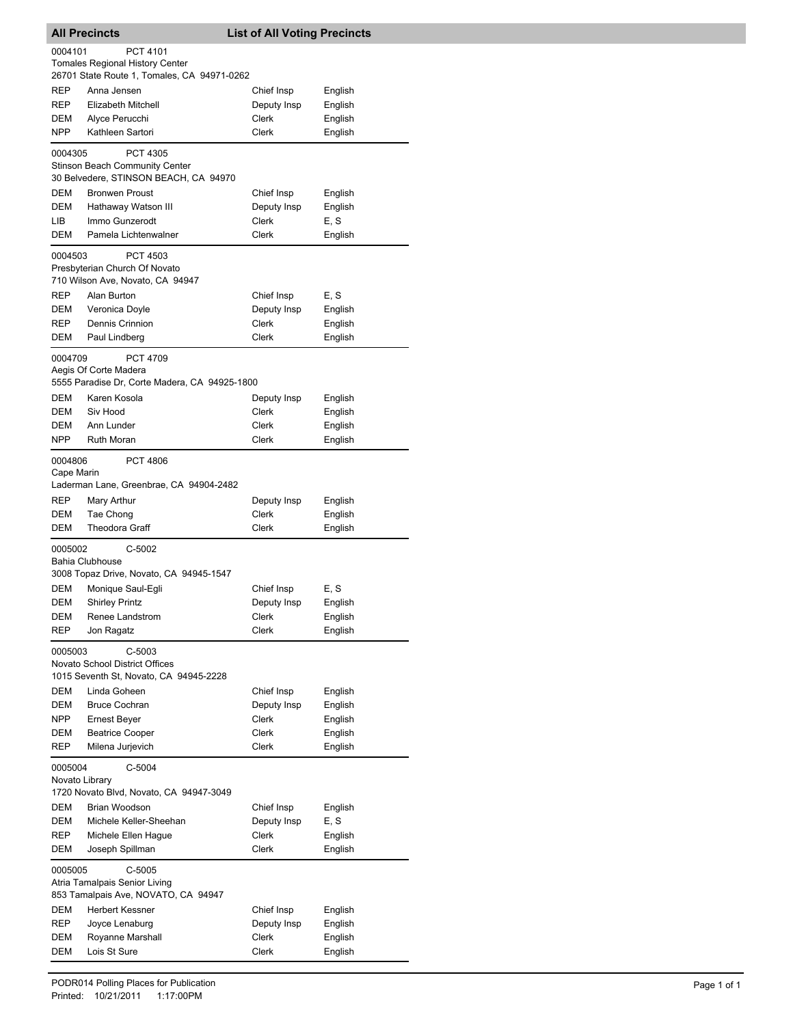| <b>All Precincts</b>                                                 |                                                                                                   | <b>List of All Voting Precincts</b> |                    |  |  |
|----------------------------------------------------------------------|---------------------------------------------------------------------------------------------------|-------------------------------------|--------------------|--|--|
| 0004101<br>PCT 4101<br><b>Tomales Regional History Center</b>        |                                                                                                   |                                     |                    |  |  |
|                                                                      | 26701 State Route 1, Tomales, CA 94971-0262                                                       |                                     |                    |  |  |
| REP                                                                  | Anna Jensen                                                                                       | Chief Insp                          | English            |  |  |
| REP                                                                  | Elizabeth Mitchell                                                                                | Deputy Insp                         | English            |  |  |
| DEM                                                                  | Alyce Perucchi                                                                                    | Clerk                               | English            |  |  |
| <b>NPP</b>                                                           | Kathleen Sartori                                                                                  | <b>Clerk</b>                        | English            |  |  |
| 0004305                                                              | <b>PCT 4305</b><br><b>Stinson Beach Community Center</b><br>30 Belvedere, STINSON BEACH, CA 94970 |                                     |                    |  |  |
| DEM                                                                  | <b>Bronwen Proust</b>                                                                             | Chief Insp                          | English            |  |  |
| DEM                                                                  | Hathaway Watson III                                                                               | Deputy Insp                         | English            |  |  |
| LІВ                                                                  | Immo Gunzerodt                                                                                    | Clerk                               | E, S               |  |  |
| DEM                                                                  | Pamela Lichtenwalner                                                                              | Clerk                               | English            |  |  |
| 0004503                                                              | <b>PCT 4503</b><br>Presbyterian Church Of Novato<br>710 Wilson Ave, Novato, CA 94947              |                                     |                    |  |  |
| <b>REP</b>                                                           | Alan Burton                                                                                       | Chief Insp                          | E, S               |  |  |
| DEM                                                                  | Veronica Doyle                                                                                    | Deputy Insp                         | English            |  |  |
| <b>REP</b>                                                           | Dennis Crinnion                                                                                   | Clerk                               | English            |  |  |
| DEM                                                                  | Paul Lindberg                                                                                     | Clerk                               | English            |  |  |
| 0004709                                                              | <b>PCT 4709</b><br>Aegis Of Corte Madera<br>5555 Paradise Dr, Corte Madera, CA 94925-1800         |                                     |                    |  |  |
| <b>DEM</b>                                                           | Karen Kosola                                                                                      | Deputy Insp                         | English            |  |  |
| DEM                                                                  | Siv Hood                                                                                          | Clerk                               | English            |  |  |
| DEM                                                                  | Ann Lunder                                                                                        | Clerk                               | English            |  |  |
| <b>NPP</b>                                                           | <b>Ruth Moran</b>                                                                                 | Clerk                               | English            |  |  |
| 0004806<br>Cape Marin                                                | <b>PCT 4806</b><br>Laderman Lane, Greenbrae, CA 94904-2482                                        |                                     |                    |  |  |
| REP                                                                  | Mary Arthur                                                                                       | Deputy Insp                         | English            |  |  |
| DEM                                                                  | Tae Chong                                                                                         | Clerk                               | English            |  |  |
| DEM                                                                  | <b>Theodora Graff</b>                                                                             | Clerk                               | English            |  |  |
| 0005002                                                              | C-5002<br><b>Bahia Clubhouse</b>                                                                  |                                     |                    |  |  |
|                                                                      | 3008 Topaz Drive, Novato, CA 94945-1547                                                           |                                     |                    |  |  |
| DEM                                                                  | Monique Saul-Egli                                                                                 | Chief Insp                          | E, S               |  |  |
| DEM                                                                  | <b>Shirley Printz</b>                                                                             | Deputy Insp                         | English            |  |  |
| DEM                                                                  | Renee Landstrom                                                                                   | Clerk                               | English            |  |  |
| <b>REP</b>                                                           | Jon Ragatz                                                                                        | Clerk                               | English            |  |  |
| 0005003                                                              | C-5003<br>Novato School District Offices                                                          |                                     |                    |  |  |
|                                                                      | 1015 Seventh St, Novato, CA 94945-2228                                                            |                                     |                    |  |  |
| DEM                                                                  | Linda Goheen                                                                                      | Chief Insp                          | English            |  |  |
| <b>DEM</b><br><b>NPP</b>                                             | <b>Bruce Cochran</b>                                                                              | Deputy Insp<br>Clerk                | English            |  |  |
| DEM                                                                  | <b>Ernest Beyer</b><br><b>Beatrice Cooper</b>                                                     | Clerk                               | English<br>English |  |  |
| <b>REP</b>                                                           | Milena Jurjevich                                                                                  | Clerk                               | English            |  |  |
| 0005004<br>$C-5004$<br>Novato Library                                |                                                                                                   |                                     |                    |  |  |
|                                                                      | 1720 Novato Blvd, Novato, CA 94947-3049                                                           |                                     |                    |  |  |
| DEM                                                                  | Brian Woodson                                                                                     | Chief Insp                          | English            |  |  |
| DEM                                                                  | Michele Keller-Sheehan                                                                            | Deputy Insp                         | E, S               |  |  |
| REP<br>DEM                                                           | Michele Ellen Hague<br>Joseph Spillman                                                            | Clerk<br>Clerk                      | English<br>English |  |  |
| 0005005<br>$C-5005$                                                  |                                                                                                   |                                     |                    |  |  |
| Atria Tamalpais Senior Living<br>853 Tamalpais Ave, NOVATO, CA 94947 |                                                                                                   |                                     |                    |  |  |
| DEM                                                                  | <b>Herbert Kessner</b>                                                                            |                                     |                    |  |  |
| REP                                                                  | Joyce Lenaburg                                                                                    | Chief Insp<br>Deputy Insp           | English<br>English |  |  |
| DEM                                                                  | Royanne Marshall                                                                                  | Clerk                               | English            |  |  |
| DEM                                                                  | Lois St Sure                                                                                      | Clerk                               | English            |  |  |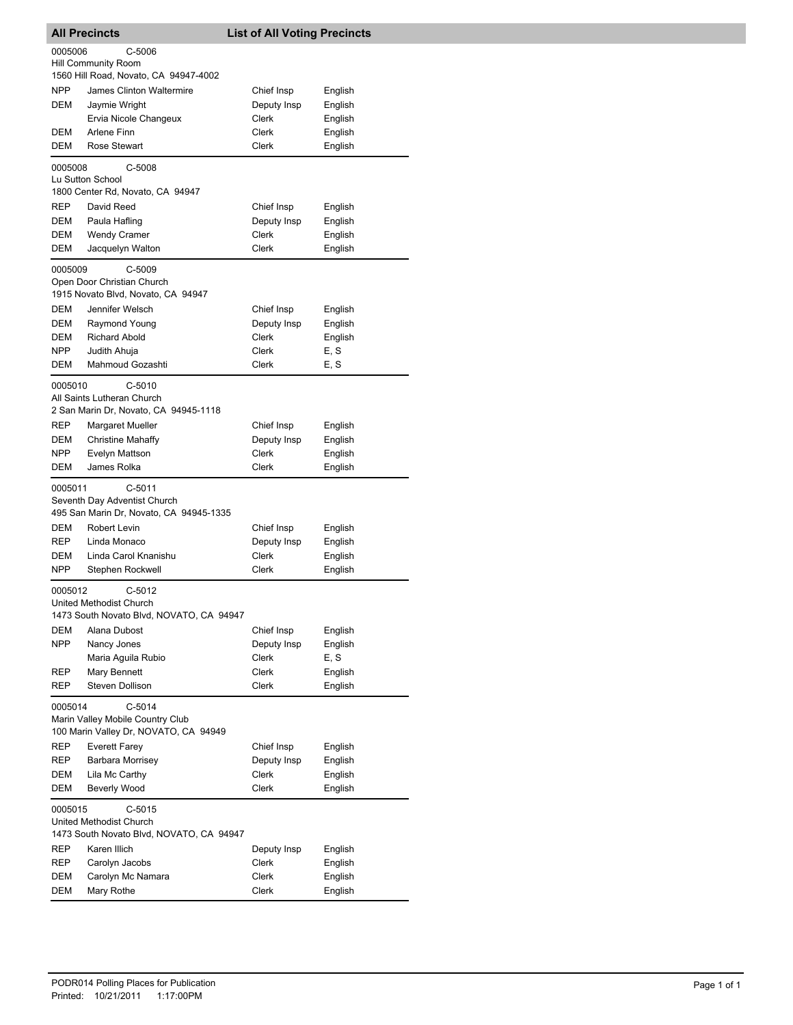| <b>All Precincts</b>                                                                           |                                                                                         | <b>List of All Voting Precincts</b> |         |  |  |  |
|------------------------------------------------------------------------------------------------|-----------------------------------------------------------------------------------------|-------------------------------------|---------|--|--|--|
| C-5006<br>0005006                                                                              |                                                                                         |                                     |         |  |  |  |
|                                                                                                | <b>Hill Community Room</b>                                                              |                                     |         |  |  |  |
|                                                                                                | 1560 Hill Road, Novato, CA 94947-4002                                                   |                                     |         |  |  |  |
| <b>NPP</b>                                                                                     | James Clinton Waltermire                                                                | Chief Insp                          | English |  |  |  |
| DEM                                                                                            | Jaymie Wright                                                                           | Deputy Insp                         | English |  |  |  |
|                                                                                                | Ervia Nicole Changeux                                                                   | Clerk                               | English |  |  |  |
| DEM                                                                                            | Arlene Finn                                                                             | Clerk                               | English |  |  |  |
| DEM                                                                                            | Rose Stewart                                                                            | Clerk                               | English |  |  |  |
| C-5008<br>0005008<br>Lu Sutton School<br>1800 Center Rd, Novato, CA 94947                      |                                                                                         |                                     |         |  |  |  |
| REP                                                                                            | David Reed                                                                              | Chief Insp                          | English |  |  |  |
| DEM                                                                                            | Paula Hafling                                                                           | Deputy Insp                         | English |  |  |  |
| <b>DEM</b>                                                                                     | <b>Wendy Cramer</b>                                                                     | Clerk                               | English |  |  |  |
| <b>DEM</b>                                                                                     | Jacquelyn Walton                                                                        | Clerk                               | English |  |  |  |
|                                                                                                | 0005009<br>$C-5009$<br>Open Door Christian Church<br>1915 Novato Blvd, Novato, CA 94947 |                                     |         |  |  |  |
| DEM                                                                                            | Jennifer Welsch                                                                         | Chief Insp                          | English |  |  |  |
| DEM                                                                                            | Raymond Young                                                                           | Deputy Insp                         | English |  |  |  |
| DEM                                                                                            | <b>Richard Abold</b>                                                                    | Clerk                               | English |  |  |  |
| NPP                                                                                            | Judith Ahuja                                                                            | Clerk                               | E, S    |  |  |  |
| DEM                                                                                            | Mahmoud Gozashti                                                                        | Clerk                               | E, S    |  |  |  |
| 0005010<br>$C-5010$<br>All Saints Lutheran Church<br>2 San Marin Dr, Novato, CA 94945-1118     |                                                                                         |                                     |         |  |  |  |
| REP                                                                                            | Margaret Mueller                                                                        | Chief Insp                          | English |  |  |  |
| DEM                                                                                            | <b>Christine Mahaffy</b>                                                                | Deputy Insp                         | English |  |  |  |
| NPP                                                                                            | Evelyn Mattson                                                                          | Clerk                               | English |  |  |  |
| DEM                                                                                            | James Rolka                                                                             | Clerk                               | English |  |  |  |
| 0005011<br>$C-5011$<br>Seventh Day Adventist Church<br>495 San Marin Dr, Novato, CA 94945-1335 |                                                                                         |                                     |         |  |  |  |
| DEM                                                                                            | Robert Levin                                                                            | Chief Insp                          | English |  |  |  |
| <b>REP</b>                                                                                     | Linda Monaco                                                                            | Deputy Insp                         | English |  |  |  |
| <b>DEM</b>                                                                                     | Linda Carol Knanishu                                                                    | Clerk                               | English |  |  |  |
| <b>NPP</b>                                                                                     | Stephen Rockwell                                                                        | Clerk                               | English |  |  |  |
| 0005012<br>$C-5012$<br>United Methodist Church                                                 |                                                                                         |                                     |         |  |  |  |
|                                                                                                | 1473 South Novato Blvd, NOVATO, CA 94947                                                |                                     |         |  |  |  |
| DEM                                                                                            | Alana Dubost                                                                            | Chief Insp                          | English |  |  |  |
| <b>NPP</b>                                                                                     | Nancy Jones                                                                             | Deputy Insp                         | English |  |  |  |
|                                                                                                | Maria Aguila Rubio                                                                      | Clerk                               | E, S    |  |  |  |
| REP                                                                                            | Mary Bennett                                                                            | Clerk                               | English |  |  |  |
| REP                                                                                            | Steven Dollison                                                                         | Clerk                               | English |  |  |  |
| 0005014<br>C-5014<br>Marin Valley Mobile Country Club<br>100 Marin Valley Dr, NOVATO, CA 94949 |                                                                                         |                                     |         |  |  |  |
| REP                                                                                            | <b>Everett Farey</b>                                                                    | Chief Insp                          | English |  |  |  |
| REP                                                                                            | <b>Barbara Morrisey</b>                                                                 | Deputy Insp                         | English |  |  |  |
| DEM                                                                                            | Lila Mc Carthy                                                                          | Clerk                               | English |  |  |  |
| DEM                                                                                            | Beverly Wood                                                                            | Clerk                               | English |  |  |  |
| $C-5015$<br>0005015<br>United Methodist Church                                                 |                                                                                         |                                     |         |  |  |  |
|                                                                                                | 1473 South Novato Blvd, NOVATO, CA 94947                                                |                                     |         |  |  |  |
| <b>REP</b>                                                                                     | Karen Illich                                                                            | Deputy Insp                         | English |  |  |  |
| REP                                                                                            | Carolyn Jacobs                                                                          | Clerk                               | English |  |  |  |
| DEM                                                                                            | Carolyn Mc Namara                                                                       | Clerk                               | English |  |  |  |
| DEM                                                                                            | Mary Rothe                                                                              | Clerk                               | English |  |  |  |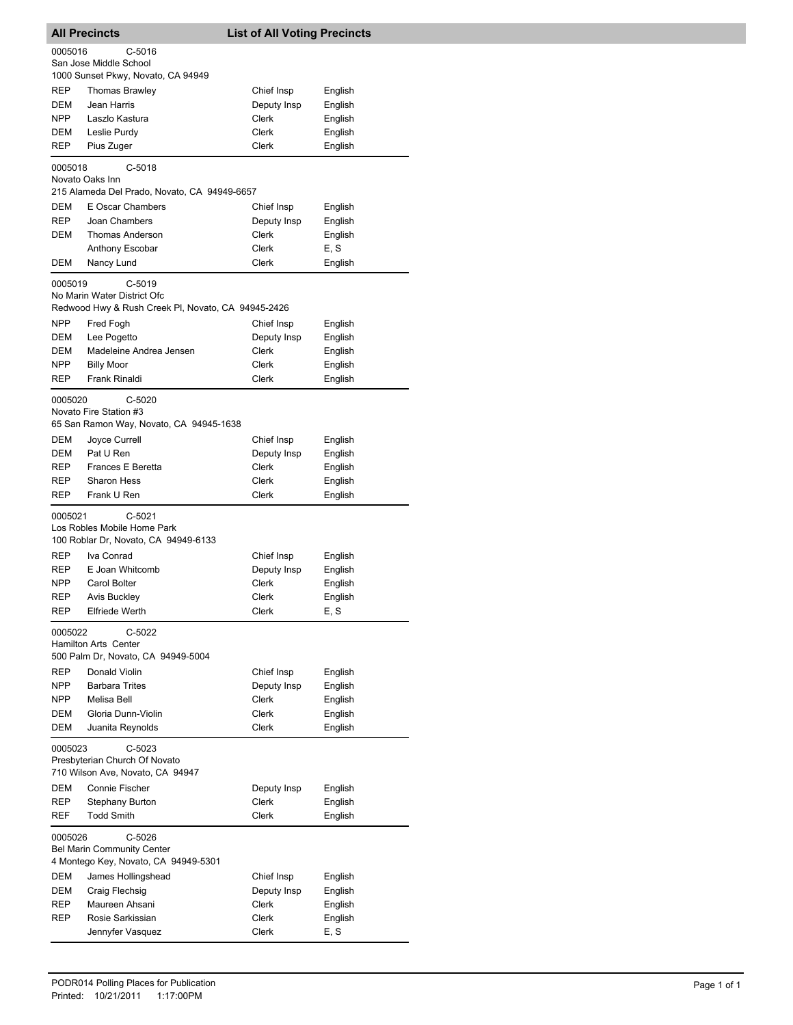| <b>All Precincts</b>              |                                                    | <b>List of All Voting Precincts</b> |         |  |  |  |
|-----------------------------------|----------------------------------------------------|-------------------------------------|---------|--|--|--|
| 0005016<br>C-5016                 |                                                    |                                     |         |  |  |  |
|                                   | San Jose Middle School                             |                                     |         |  |  |  |
|                                   | 1000 Sunset Pkwy, Novato, CA 94949                 |                                     |         |  |  |  |
| REP                               | Thomas Brawley                                     | Chief Insp                          | English |  |  |  |
| DEM                               | Jean Harris                                        | Deputy Insp                         | English |  |  |  |
| NPP                               | Laszlo Kastura                                     | Clerk                               | English |  |  |  |
| DEM                               | Leslie Purdy                                       | Clerk                               | English |  |  |  |
| REP                               | Pius Zuger                                         | Clerk                               | English |  |  |  |
| 0005018                           | $C-5018$                                           |                                     |         |  |  |  |
|                                   | Novato Oaks Inn                                    |                                     |         |  |  |  |
|                                   | 215 Alameda Del Prado, Novato, CA 94949-6657       |                                     |         |  |  |  |
| DEM                               | E Oscar Chambers                                   | Chief Insp                          | English |  |  |  |
| REP.                              | Joan Chambers                                      | Deputy Insp                         | English |  |  |  |
| DEM                               | Thomas Anderson                                    | Clerk                               | English |  |  |  |
|                                   | Anthony Escobar                                    | Clerk                               | E, S    |  |  |  |
| DEM                               | Nancy Lund                                         | Clerk                               | English |  |  |  |
|                                   |                                                    |                                     |         |  |  |  |
| 0005019                           | C-5019                                             |                                     |         |  |  |  |
|                                   | No Marin Water District Ofc                        |                                     |         |  |  |  |
|                                   | Redwood Hwy & Rush Creek PI, Novato, CA 94945-2426 |                                     |         |  |  |  |
| <b>NPP</b>                        | Fred Fogh                                          | Chief Insp                          | English |  |  |  |
| DEM                               | Lee Pogetto                                        | Deputy Insp                         | English |  |  |  |
| DEM                               | Madeleine Andrea Jensen                            | Clerk                               | English |  |  |  |
| NPP                               | <b>Billy Moor</b>                                  | Clerk                               | English |  |  |  |
| REP                               | <b>Frank Rinaldi</b>                               | Clerk                               | English |  |  |  |
| 0005020                           | C-5020                                             |                                     |         |  |  |  |
|                                   | Novato Fire Station #3                             |                                     |         |  |  |  |
|                                   | 65 San Ramon Way, Novato, CA 94945-1638            |                                     |         |  |  |  |
| DEM                               | Joyce Currell                                      | Chief Insp                          | English |  |  |  |
| DEM                               | Pat U Ren                                          | Deputy Insp                         | English |  |  |  |
| REP                               | <b>Frances E Beretta</b>                           | Clerk                               | English |  |  |  |
| REP                               | <b>Sharon Hess</b>                                 | Clerk                               | English |  |  |  |
| REP                               | Frank U Ren                                        | Clerk                               | English |  |  |  |
|                                   |                                                    |                                     |         |  |  |  |
| 0005021                           | C-5021<br>Los Robles Mobile Home Park              |                                     |         |  |  |  |
|                                   | 100 Roblar Dr, Novato, CA 94949-6133               |                                     |         |  |  |  |
| REP                               | Iva Conrad                                         |                                     |         |  |  |  |
| REP                               | E Joan Whitcomb                                    | Chief Insp                          | English |  |  |  |
| <b>NPP</b>                        | Carol Bolter                                       | Deputy Insp<br>Clerk                | English |  |  |  |
|                                   |                                                    | Clerk                               | English |  |  |  |
| REP                               | Avis Buckley                                       |                                     | English |  |  |  |
| RFh                               | Eltriede Werth                                     | Clerk                               | E, S    |  |  |  |
| 0005022                           | C-5022                                             |                                     |         |  |  |  |
|                                   | <b>Hamilton Arts Center</b>                        |                                     |         |  |  |  |
|                                   | 500 Palm Dr, Novato, CA 94949-5004                 |                                     |         |  |  |  |
| REP                               | Donald Violin                                      | Chief Insp                          | English |  |  |  |
| NPP                               | <b>Barbara Trites</b>                              | Deputy Insp                         | English |  |  |  |
| NPP                               | Melisa Bell                                        | Clerk                               | English |  |  |  |
| DEM                               | Gloria Dunn-Violin                                 | Clerk                               | English |  |  |  |
| DEM                               | Juanita Reynolds                                   | Clerk                               | English |  |  |  |
| 0005023                           | C-5023                                             |                                     |         |  |  |  |
| Presbyterian Church Of Novato     |                                                    |                                     |         |  |  |  |
|                                   | 710 Wilson Ave, Novato, CA 94947                   |                                     |         |  |  |  |
| DEM                               | Connie Fischer                                     | Deputy Insp                         | English |  |  |  |
| REP                               | <b>Stephany Burton</b>                             | Clerk                               | English |  |  |  |
| REF                               | <b>Todd Smith</b>                                  | Clerk                               | English |  |  |  |
|                                   |                                                    |                                     |         |  |  |  |
| $C-5026$<br>0005026               |                                                    |                                     |         |  |  |  |
| <b>Bel Marin Community Center</b> |                                                    |                                     |         |  |  |  |
|                                   | 4 Montego Key, Novato, CA 94949-5301               |                                     |         |  |  |  |
| DEM                               | James Hollingshead                                 | Chief Insp                          | English |  |  |  |
| DEM                               | Craig Flechsig                                     | Deputy Insp                         | English |  |  |  |
| REP                               | Maureen Ahsani                                     | Clerk                               | English |  |  |  |
| REP                               | Rosie Sarkissian                                   | Clerk                               | English |  |  |  |
|                                   | Jennyfer Vasquez                                   | Clerk                               | E, S    |  |  |  |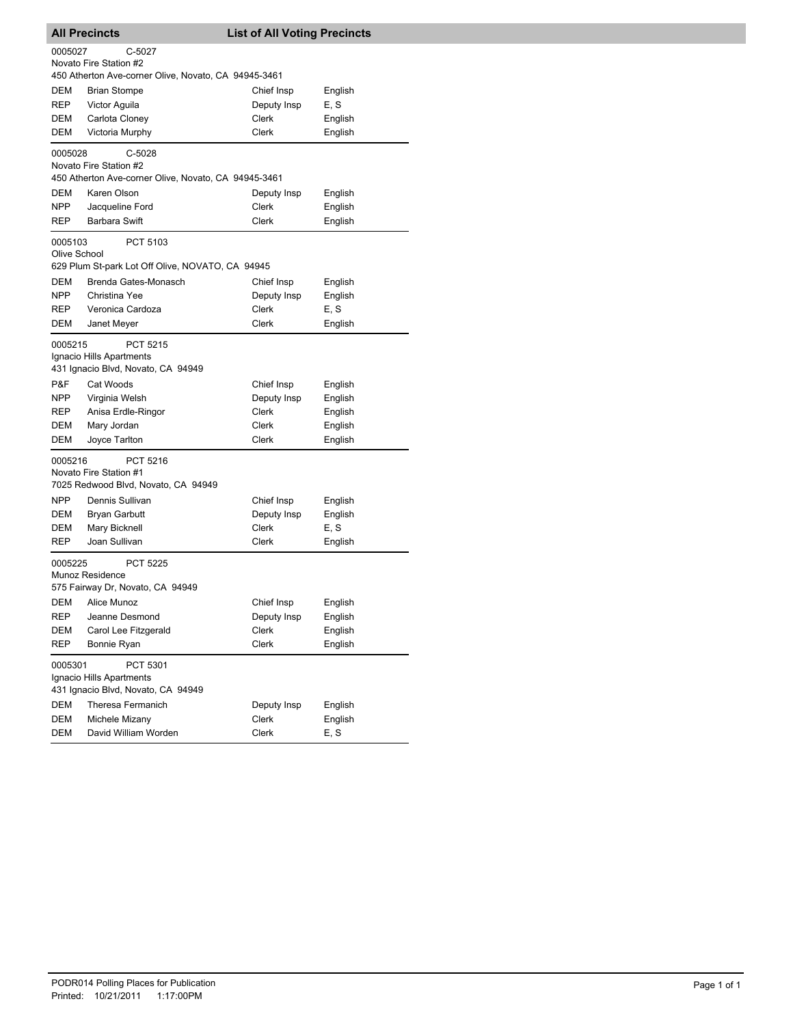| <b>All Precincts</b>                                                                                |                      | <b>List of All Voting Precincts</b> |         |  |  |  |
|-----------------------------------------------------------------------------------------------------|----------------------|-------------------------------------|---------|--|--|--|
| C-5027<br>0005027<br>Novato Fire Station #2<br>450 Atherton Ave-corner Olive, Novato, CA 94945-3461 |                      |                                     |         |  |  |  |
| DEM                                                                                                 | <b>Brian Stompe</b>  | Chief Insp                          | English |  |  |  |
| REP                                                                                                 | Victor Aguila        | Deputy Insp                         | E, S    |  |  |  |
| DEM                                                                                                 | Carlota Cloney       | Clerk                               | English |  |  |  |
| DEM                                                                                                 | Victoria Murphy      | Clerk                               | English |  |  |  |
| C-5028<br>0005028<br>Novato Fire Station #2<br>450 Atherton Ave-corner Olive, Novato, CA 94945-3461 |                      |                                     |         |  |  |  |
| DEM                                                                                                 | Karen Olson          | Deputy Insp                         | English |  |  |  |
| <b>NPP</b>                                                                                          | Jacqueline Ford      | Clerk                               | English |  |  |  |
| REP                                                                                                 | Barbara Swift        | Clerk                               | English |  |  |  |
| 0005103<br>PCT 5103<br>Olive School<br>629 Plum St-park Lot Off Olive, NOVATO, CA 94945             |                      |                                     |         |  |  |  |
| <b>DEM</b>                                                                                          | Brenda Gates-Monasch | Chief Insp                          | English |  |  |  |
| NPP                                                                                                 | Christina Yee        | Deputy Insp                         | English |  |  |  |
| <b>REP</b>                                                                                          | Veronica Cardoza     | Clerk                               | E, S    |  |  |  |
| DEM                                                                                                 | Janet Meyer          | Clerk                               | English |  |  |  |
| PCT 5215<br>0005215<br>Ignacio Hills Apartments<br>431 Ignacio Blvd, Novato, CA 94949               |                      |                                     |         |  |  |  |
| P&F                                                                                                 | Cat Woods            | Chief Insp                          | English |  |  |  |
| <b>NPP</b>                                                                                          | Virginia Welsh       | Deputy Insp                         | English |  |  |  |
| REP                                                                                                 | Anisa Erdle-Ringor   | Clerk                               | English |  |  |  |
| DEM                                                                                                 | Mary Jordan          | Clerk                               | English |  |  |  |
| DEM                                                                                                 | Joyce Tarlton        | Clerk                               | English |  |  |  |
| 0005216<br>PCT 5216<br>Novato Fire Station #1<br>7025 Redwood Blvd, Novato, CA 94949                |                      |                                     |         |  |  |  |
| NPP                                                                                                 | Dennis Sullivan      | Chief Insp                          | English |  |  |  |
| DEM                                                                                                 | <b>Bryan Garbutt</b> | Deputy Insp                         | English |  |  |  |
| DEM                                                                                                 | Mary Bicknell        | Clerk                               | E, S    |  |  |  |
| REP                                                                                                 | Joan Sullivan        | Clerk                               | English |  |  |  |
| 0005225<br>PCT 5225<br>Munoz Residence<br>575 Fairway Dr, Novato, CA 94949                          |                      |                                     |         |  |  |  |
| <b>DEM</b>                                                                                          | Alice Munoz          | Chief Insp                          | English |  |  |  |
| REP                                                                                                 | Jeanne Desmond       | Deputy Insp                         | English |  |  |  |
| DEM                                                                                                 | Carol Lee Fitzgerald | Clerk                               | English |  |  |  |
| REP                                                                                                 | Bonnie Ryan          | Clerk                               | English |  |  |  |
| PCT 5301<br>0005301<br>Ignacio Hills Apartments<br>431 Ignacio Blvd, Novato, CA 94949               |                      |                                     |         |  |  |  |
| DEM                                                                                                 | Theresa Fermanich    | Deputy Insp                         | English |  |  |  |
| DEM                                                                                                 | Michele Mizany       | Clerk                               | English |  |  |  |
| DEM                                                                                                 | David William Worden | Clerk                               | E, S    |  |  |  |